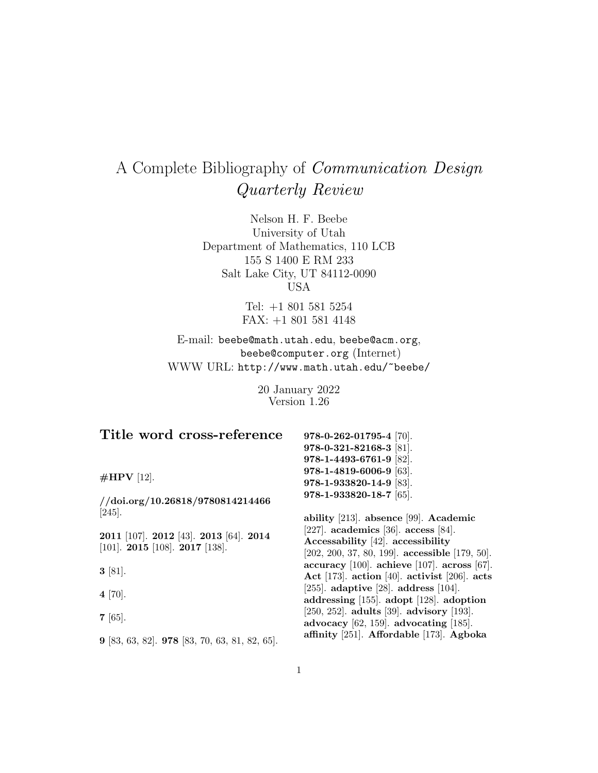# A Complete Bibliography of Communication Design Quarterly Review

Nelson H. F. Beebe University of Utah Department of Mathematics, 110 LCB 155 S 1400 E RM 233 Salt Lake City, UT 84112-0090 USA

> Tel: +1 801 581 5254 FAX: +1 801 581 4148

E-mail: beebe@math.utah.edu, beebe@acm.org, beebe@computer.org (Internet) WWW URL: http://www.math.utah.edu/~beebe/

> 20 January 2022 Version 1.26

| Title word cross-reference                                                             | 978-0-262-01795-4 [70].                                                                                                          |
|----------------------------------------------------------------------------------------|----------------------------------------------------------------------------------------------------------------------------------|
|                                                                                        | 978-0-321-82168-3 [81].                                                                                                          |
|                                                                                        | 978-1-4493-6761-9 [82].                                                                                                          |
| $\#HPV$ [12].                                                                          | 978-1-4819-6006-9 [63].                                                                                                          |
|                                                                                        | 978-1-933820-14-9 [83].                                                                                                          |
| // doi.org/10.26818/9780814214466                                                      | 978-1-933820-18-7 [65].                                                                                                          |
| $[245]$ .                                                                              | ability [213]. absence [99]. Academic                                                                                            |
| 2011 [107]. 2012 [43]. 2013 [64]. 2014<br>[101]. <b>2015</b> [108]. <b>2017</b> [138]. | [227]. academics [36]. access [84].<br>Accessability [42]. accessibility<br>$[202, 200, 37, 80, 199]$ . accessible $[179, 50]$ . |
| $3 \; [81]$ .                                                                          | accuracy $[100]$ . achieve $[107]$ . across $[67]$ .<br>Act [173]. action [40]. activist [206]. acts                             |
| $4 [70]$ .                                                                             | [255]. adaptive [28]. address [104].<br>addressing $[155]$ . adopt $[128]$ . adoption                                            |
| $7 \; [65]$ .                                                                          | [ $250, 252$ ]. adults [39]. advisory [193].<br>advocacy $[62, 159]$ . advocating $[185]$ .                                      |
| $9$ [83, 63, 82]. $978$ [83, 70, 63, 81, 82, 65].                                      | affinity [251]. Affordable [173]. Agboka                                                                                         |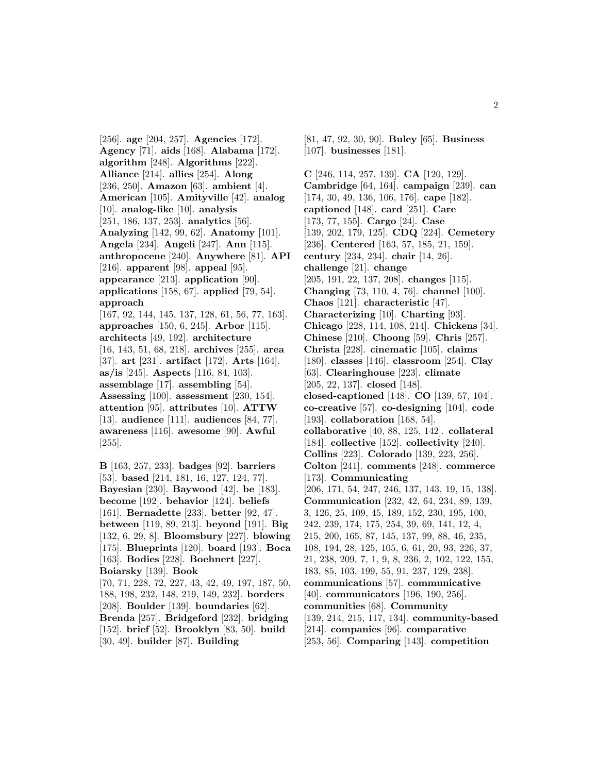[256]. **age** [204, 257]. **Agencies** [172]. **Agency** [71]. **aids** [168]. **Alabama** [172]. **algorithm** [248]. **Algorithms** [222]. **Alliance** [214]. **allies** [254]. **Along** [236, 250]. **Amazon** [63]. **ambient** [4]. **American** [105]. **Amityville** [42]. **analog** [10]. **analog-like** [10]. **analysis** [251, 186, 137, 253]. **analytics** [56]. **Analyzing** [142, 99, 62]. **Anatomy** [101]. **Angela** [234]. **Angeli** [247]. **Ann** [115]. **anthropocene** [240]. **Anywhere** [81]. **API** [216]. **apparent** [98]. **appeal** [95]. **appearance** [213]. **application** [90]. **applications** [158, 67]. **applied** [79, 54]. **approach**

[167, 92, 144, 145, 137, 128, 61, 56, 77, 163]. **approaches** [150, 6, 245]. **Arbor** [115]. **architects** [49, 192]. **architecture** [16, 143, 51, 68, 218]. **archives** [255]. **area** [37]. **art** [231]. **artifact** [172]. **Arts** [164]. **as/is** [245]. **Aspects** [116, 84, 103]. **assemblage** [17]. **assembling** [54]. **Assessing** [100]. **assessment** [230, 154]. **attention** [95]. **attributes** [10]. **ATTW** [13]. **audience** [111]. **audiences** [84, 77]. **awareness** [116]. **awesome** [90]. **Awful** [255].

**B** [163, 257, 233]. **badges** [92]. **barriers** [53]. **based** [214, 181, 16, 127, 124, 77]. **Bayesian** [230]. **Baywood** [42]. **be** [183]. **become** [192]. **behavior** [124]. **beliefs** [161]. **Bernadette** [233]. **better** [92, 47]. **between** [119, 89, 213]. **beyond** [191]. **Big** [132, 6, 29, 8]. **Bloomsbury** [227]. **blowing** [175]. **Blueprints** [120]. **board** [193]. **Boca** [163]. **Bodies** [228]. **Boehnert** [227]. **Boiarsky** [139]. **Book** [70, 71, 228, 72, 227, 43, 42, 49, 197, 187, 50, 188, 198, 232, 148, 219, 149, 232]. **borders** [208]. **Boulder** [139]. **boundaries** [62]. **Brenda** [257]. **Bridgeford** [232]. **bridging** [152]. **brief** [52]. **Brooklyn** [83, 50]. **build** [30, 49]. **builder** [87]. **Building**

[81, 47, 92, 30, 90]. **Buley** [65]. **Business** [107]. **businesses** [181].

**C** [246, 114, 257, 139]. **CA** [120, 129]. **Cambridge** [64, 164]. **campaign** [239]. **can** [174, 30, 49, 136, 106, 176]. **cape** [182]. **captioned** [148]. **card** [251]. **Care** [173, 77, 155]. **Cargo** [24]. **Case** [139, 202, 179, 125]. **CDQ** [224]. **Cemetery** [236]. **Centered** [163, 57, 185, 21, 159]. **century** [234, 234]. **chair** [14, 26]. **challenge** [21]. **change** [205, 191, 22, 137, 208]. **changes** [115]. **Changing** [73, 110, 4, 76]. **channel** [100]. **Chaos** [121]. **characteristic** [47]. **Characterizing** [10]. **Charting** [93]. **Chicago** [228, 114, 108, 214]. **Chickens** [34]. **Chinese** [210]. **Choong** [59]. **Chris** [257]. **Christa** [228]. **cinematic** [105]. **claims** [180]. **classes** [146]. **classroom** [254]. **Clay** [63]. **Clearinghouse** [223]. **climate** [205, 22, 137]. **closed** [148]. **closed-captioned** [148]. **CO** [139, 57, 104]. **co-creative** [57]. **co-designing** [104]. **code** [193]. **collaboration** [168, 54]. **collaborative** [40, 88, 125, 142]. **collateral** [184]. **collective** [152]. **collectivity** [240]. **Collins** [223]. **Colorado** [139, 223, 256]. **Colton** [241]. **comments** [248]. **commerce** [173]. **Communicating** [206, 171, 54, 247, 246, 137, 143, 19, 15, 138]. **Communication** [232, 42, 64, 234, 89, 139, 3, 126, 25, 109, 45, 189, 152, 230, 195, 100, 242, 239, 174, 175, 254, 39, 69, 141, 12, 4, 215, 200, 165, 87, 145, 137, 99, 88, 46, 235, 108, 194, 28, 125, 105, 6, 61, 20, 93, 226, 37, 21, 238, 209, 7, 1, 9, 8, 236, 2, 102, 122, 155, 183, 85, 103, 199, 55, 91, 237, 129, 238]. **communications** [57]. **communicative** [40]. **communicators** [196, 190, 256]. **communities** [68]. **Community** [139, 214, 215, 117, 134]. **community-based** [214]. **companies** [96]. **comparative** [253, 56]. **Comparing** [143]. **competition**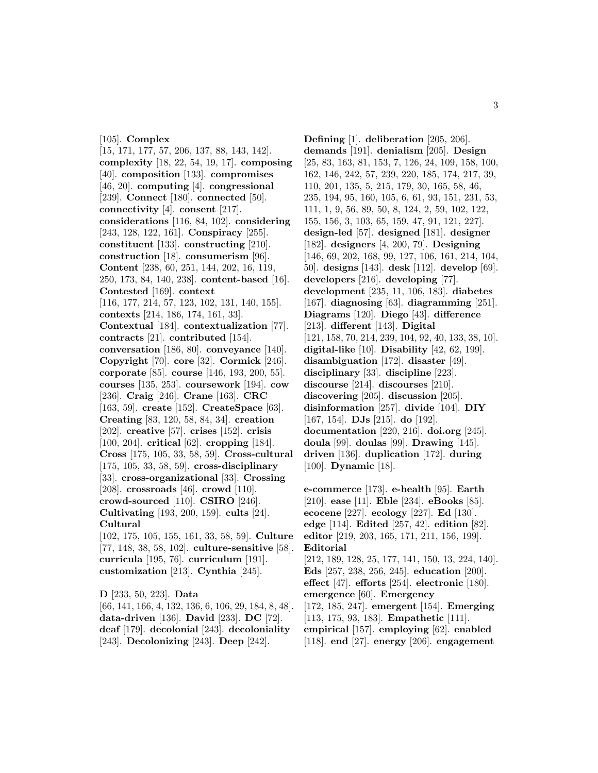[105]. **Complex** [15, 171, 177, 57, 206, 137, 88, 143, 142]. **complexity** [18, 22, 54, 19, 17]. **composing** [40]. **composition** [133]. **compromises** [46, 20]. **computing** [4]. **congressional** [239]. **Connect** [180]. **connected** [50]. **connectivity** [4]. **consent** [217]. **considerations** [116, 84, 102]. **considering** [243, 128, 122, 161]. **Conspiracy** [255]. **constituent** [133]. **constructing** [210]. **construction** [18]. **consumerism** [96]. **Content** [238, 60, 251, 144, 202, 16, 119, 250, 173, 84, 140, 238]. **content-based** [16]. **Contested** [169]. **context** [116, 177, 214, 57, 123, 102, 131, 140, 155]. **contexts** [214, 186, 174, 161, 33]. **Contextual** [184]. **contextualization** [77]. **contracts** [21]. **contributed** [154]. **conversation** [186, 80]. **conveyance** [140]. **Copyright** [70]. **core** [32]. **Cormick** [246]. **corporate** [85]. **course** [146, 193, 200, 55]. **courses** [135, 253]. **coursework** [194]. **cow** [236]. **Craig** [246]. **Crane** [163]. **CRC** [163, 59]. **create** [152]. **CreateSpace** [63]. **Creating** [83, 120, 58, 84, 34]. **creation** [202]. **creative** [57]. **crises** [152]. **crisis** [100, 204]. **critical** [62]. **cropping** [184]. **Cross** [175, 105, 33, 58, 59]. **Cross-cultural** [175, 105, 33, 58, 59]. **cross-disciplinary** [33]. **cross-organizational** [33]. **Crossing** [208]. **crossroads** [46]. **crowd** [110]. **crowd-sourced** [110]. **CSIRO** [246]. **Cultivating** [193, 200, 159]. **cults** [24]. **Cultural** [102, 175, 105, 155, 161, 33, 58, 59]. **Culture** [77, 148, 38, 58, 102]. **culture-sensitive** [58]. **curricula** [195, 76]. **curriculum** [191].

**customization** [213]. **Cynthia** [245]. **D** [233, 50, 223]. **Data** [66, 141, 166, 4, 132, 136, 6, 106, 29, 184, 8, 48]. **data-driven** [136]. **David** [233]. **DC** [72].

**deaf** [179]. **decolonial** [243]. **decoloniality** [243]. **Decolonizing** [243]. **Deep** [242].

**Defining** [1]. **deliberation** [205, 206]. **demands** [191]. **denialism** [205]. **Design** [25, 83, 163, 81, 153, 7, 126, 24, 109, 158, 100, 162, 146, 242, 57, 239, 220, 185, 174, 217, 39, 110, 201, 135, 5, 215, 179, 30, 165, 58, 46, 235, 194, 95, 160, 105, 6, 61, 93, 151, 231, 53, 111, 1, 9, 56, 89, 50, 8, 124, 2, 59, 102, 122, 155, 156, 3, 103, 65, 159, 47, 91, 121, 227]. **design-led** [57]. **designed** [181]. **designer** [182]. **designers** [4, 200, 79]. **Designing** [146, 69, 202, 168, 99, 127, 106, 161, 214, 104, 50]. **designs** [143]. **desk** [112]. **develop** [69]. **developers** [216]. **developing** [77]. **development** [235, 11, 106, 183]. **diabetes** [167]. **diagnosing** [63]. **diagramming** [251]. **Diagrams** [120]. **Diego** [43]. **difference** [213]. **different** [143]. **Digital** [121, 158, 70, 214, 239, 104, 92, 40, 133, 38, 10]. **digital-like** [10]. **Disability** [42, 62, 199]. **disambiguation** [172]. **disaster** [49]. **disciplinary** [33]. **discipline** [223]. **discourse** [214]. **discourses** [210]. **discovering** [205]. **discussion** [205]. **disinformation** [257]. **divide** [104]. **DIY** [167, 154]. **DJs** [215]. **do** [192]. **documentation** [220, 216]. **doi.org** [245]. **doula** [99]. **doulas** [99]. **Drawing** [145]. **driven** [136]. **duplication** [172]. **during** [100]. **Dynamic** [18].

**e-commerce** [173]. **e-health** [95]. **Earth** [210]. **ease** [11]. **Eble** [234]. **eBooks** [85]. **ecocene** [227]. **ecology** [227]. **Ed** [130]. **edge** [114]. **Edited** [257, 42]. **edition** [82]. **editor** [219, 203, 165, 171, 211, 156, 199]. **Editorial** [212, 189, 128, 25, 177, 141, 150, 13, 224, 140]. **Eds** [257, 238, 256, 245]. **education** [200]. **effect** [47]. **efforts** [254]. **electronic** [180]. **emergence** [60]. **Emergency** [172, 185, 247]. **emergent** [154]. **Emerging** [113, 175, 93, 183]. **Empathetic** [111].

**empirical** [157]. **employing** [62]. **enabled** [118]. **end** [27]. **energy** [206]. **engagement**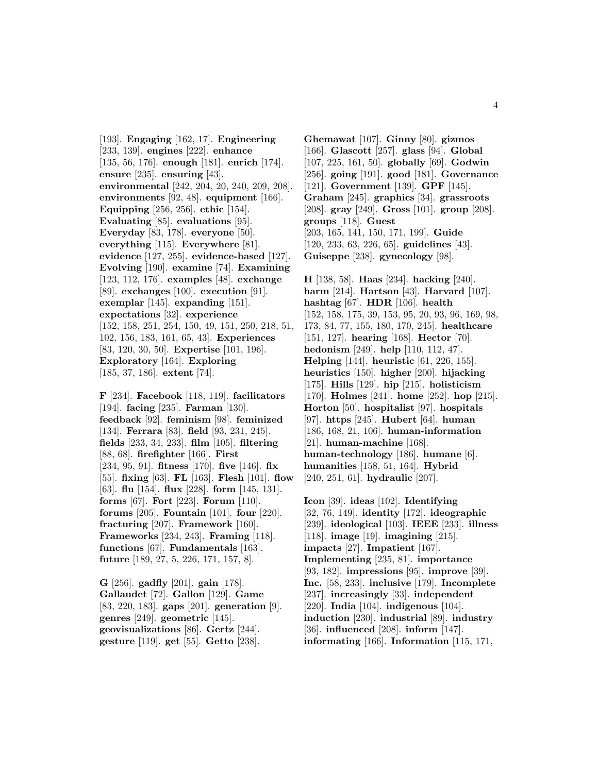[193]. **Engaging** [162, 17]. **Engineering** [233, 139]. **engines** [222]. **enhance** [135, 56, 176]. **enough** [181]. **enrich** [174]. **ensure** [235]. **ensuring** [43]. **environmental** [242, 204, 20, 240, 209, 208]. **environments** [92, 48]. **equipment** [166]. **Equipping** [256, 256]. **ethic** [154]. **Evaluating** [85]. **evaluations** [95]. **Everyday** [83, 178]. **everyone** [50]. **everything** [115]. **Everywhere** [81]. **evidence** [127, 255]. **evidence-based** [127]. **Evolving** [190]. **examine** [74]. **Examining** [123, 112, 176]. **examples** [48]. **exchange** [89]. **exchanges** [100]. **execution** [91]. **exemplar** [145]. **expanding** [151]. **expectations** [32]. **experience** [152, 158, 251, 254, 150, 49, 151, 250, 218, 51, 102, 156, 183, 161, 65, 43]. **Experiences** [83, 120, 30, 50]. **Expertise** [101, 196]. **Exploratory** [164]. **Exploring** [185, 37, 186]. **extent** [74].

**F** [234]. **Facebook** [118, 119]. **facilitators** [194]. **facing** [235]. **Farman** [130]. **feedback** [92]. **feminism** [98]. **feminized** [134]. **Ferrara** [83]. **field** [93, 231, 245]. **fields** [233, 34, 233]. **film** [105]. **filtering** [88, 68]. **firefighter** [166]. **First** [234, 95, 91]. **fitness** [170]. **five** [146]. **fix** [55]. **fixing** [63]. **FL** [163]. **Flesh** [101]. **flow** [63]. **flu** [154]. **flux** [228]. **form** [145, 131]. **forms** [67]. **Fort** [223]. **Forum** [110]. **forums** [205]. **Fountain** [101]. **four** [220]. **fracturing** [207]. **Framework** [160]. **Frameworks** [234, 243]. **Framing** [118]. **functions** [67]. **Fundamentals** [163]. **future** [189, 27, 5, 226, 171, 157, 8].

**G** [256]. **gadfly** [201]. **gain** [178]. **Gallaudet** [72]. **Gallon** [129]. **Game** [83, 220, 183]. **gaps** [201]. **generation** [9]. **genres** [249]. **geometric** [145]. **geovisualizations** [86]. **Gertz** [244]. **gesture** [119]. **get** [55]. **Getto** [238].

**Ghemawat** [107]. **Ginny** [80]. **gizmos** [166]. **Glascott** [257]. **glass** [94]. **Global** [107, 225, 161, 50]. **globally** [69]. **Godwin** [256]. **going** [191]. **good** [181]. **Governance** [121]. **Government** [139]. **GPF** [145]. **Graham** [245]. **graphics** [34]. **grassroots** [208]. **gray** [249]. **Gross** [101]. **group** [208]. **groups** [118]. **Guest** [203, 165, 141, 150, 171, 199]. **Guide** [120, 233, 63, 226, 65]. **guidelines** [43]. **Guiseppe** [238]. **gynecology** [98].

**H** [138, 58]. **Haas** [234]. **hacking** [240]. **harm** [214]. **Hartson** [43]. **Harvard** [107]. **hashtag** [67]. **HDR** [106]. **health** [152, 158, 175, 39, 153, 95, 20, 93, 96, 169, 98, 173, 84, 77, 155, 180, 170, 245]. **healthcare** [151, 127]. **hearing** [168]. **Hector** [70]. **hedonism** [249]. **help** [110, 112, 47]. **Helping** [144]. **heuristic** [61, 226, 155]. **heuristics** [150]. **higher** [200]. **hijacking** [175]. **Hills** [129]. **hip** [215]. **holisticism** [170]. **Holmes** [241]. **home** [252]. **hop** [215]. **Horton** [50]. **hospitalist** [97]. **hospitals** [97]. **https** [245]. **Hubert** [64]. **human** [186, 168, 21, 106]. **human-information** [21]. **human-machine** [168]. **human-technology** [186]. **humane** [6]. **humanities** [158, 51, 164]. **Hybrid** [240, 251, 61]. **hydraulic** [207].

**Icon** [39]. **ideas** [102]. **Identifying** [32, 76, 149]. **identity** [172]. **ideographic** [239]. **ideological** [103]. **IEEE** [233]. **illness** [118]. **image** [19]. **imagining** [215]. **impacts** [27]. **Impatient** [167]. **Implementing** [235, 81]. **importance** [93, 182]. **impressions** [95]. **improve** [39]. **Inc.** [58, 233]. **inclusive** [179]. **Incomplete** [237]. **increasingly** [33]. **independent** [220]. **India** [104]. **indigenous** [104]. **induction** [230]. **industrial** [89]. **industry** [36]. **influenced** [208]. **inform** [147]. **informating** [166]. **Information** [115, 171,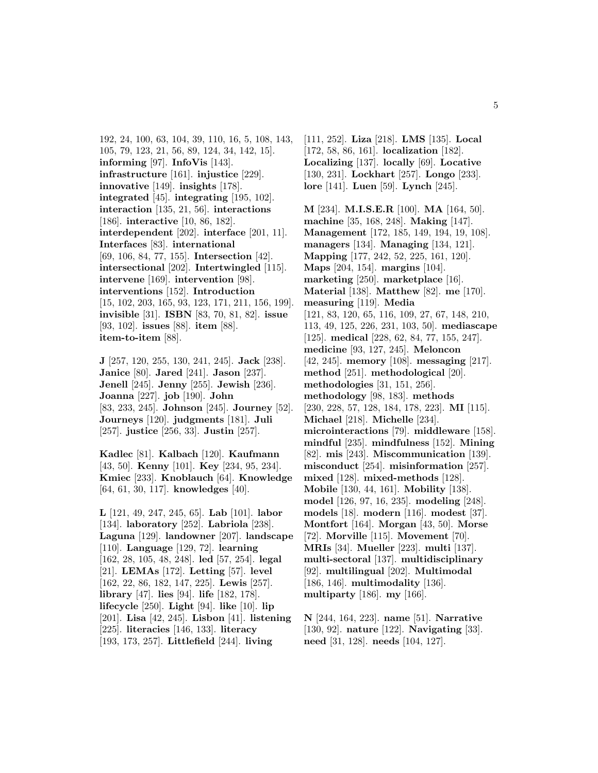192, 24, 100, 63, 104, 39, 110, 16, 5, 108, 143, 105, 79, 123, 21, 56, 89, 124, 34, 142, 15]. **informing** [97]. **InfoVis** [143]. **infrastructure** [161]. **injustice** [229]. **innovative** [149]. **insights** [178]. **integrated** [45]. **integrating** [195, 102]. **interaction** [135, 21, 56]. **interactions** [186]. **interactive** [10, 86, 182]. **interdependent** [202]. **interface** [201, 11]. **Interfaces** [83]. **international** [69, 106, 84, 77, 155]. **Intersection** [42]. **intersectional** [202]. **Intertwingled** [115]. **intervene** [169]. **intervention** [98]. **interventions** [152]. **Introduction** [15, 102, 203, 165, 93, 123, 171, 211, 156, 199]. **invisible** [31]. **ISBN** [83, 70, 81, 82]. **issue** [93, 102]. **issues** [88]. **item** [88]. **item-to-item** [88].

**J** [257, 120, 255, 130, 241, 245]. **Jack** [238]. **Janice** [80]. **Jared** [241]. **Jason** [237]. **Jenell** [245]. **Jenny** [255]. **Jewish** [236]. **Joanna** [227]. **job** [190]. **John** [83, 233, 245]. **Johnson** [245]. **Journey** [52]. **Journeys** [120]. **judgments** [181]. **Juli** [257]. **justice** [256, 33]. **Justin** [257].

**Kadlec** [81]. **Kalbach** [120]. **Kaufmann** [43, 50]. **Kenny** [101]. **Key** [234, 95, 234]. **Kmiec** [233]. **Knoblauch** [64]. **Knowledge** [64, 61, 30, 117]. **knowledges** [40].

**L** [121, 49, 247, 245, 65]. **Lab** [101]. **labor** [134]. **laboratory** [252]. **Labriola** [238]. **Laguna** [129]. **landowner** [207]. **landscape** [110]. **Language** [129, 72]. **learning** [162, 28, 105, 48, 248]. **led** [57, 254]. **legal** [21]. **LEMAs** [172]. **Letting** [57]. **level** [162, 22, 86, 182, 147, 225]. **Lewis** [257]. **library** [47]. **lies** [94]. **life** [182, 178]. **lifecycle** [250]. **Light** [94]. **like** [10]. **lip** [201]. **Lisa** [42, 245]. **Lisbon** [41]. **listening** [225]. **literacies** [146, 133]. **literacy** [193, 173, 257]. **Littlefield** [244]. **living**

[111, 252]. **Liza** [218]. **LMS** [135]. **Local** [172, 58, 86, 161]. **localization** [182]. **Localizing** [137]. **locally** [69]. **Locative** [130, 231]. **Lockhart** [257]. **Longo** [233]. **lore** [141]. **Luen** [59]. **Lynch** [245].

**M** [234]. **M.I.S.E.R** [100]. **MA** [164, 50]. **machine** [35, 168, 248]. **Making** [147]. **Management** [172, 185, 149, 194, 19, 108]. **managers** [134]. **Managing** [134, 121]. **Mapping** [177, 242, 52, 225, 161, 120]. **Maps** [204, 154]. **margins** [104]. **marketing** [250]. **marketplace** [16]. **Material** [138]. **Matthew** [82]. **me** [170]. **measuring** [119]. **Media** [121, 83, 120, 65, 116, 109, 27, 67, 148, 210, 113, 49, 125, 226, 231, 103, 50]. **mediascape** [125]. **medical** [228, 62, 84, 77, 155, 247]. **medicine** [93, 127, 245]. **Meloncon** [42, 245]. **memory** [108]. **messaging** [217]. **method** [251]. **methodological** [20]. **methodologies** [31, 151, 256]. **methodology** [98, 183]. **methods** [230, 228, 57, 128, 184, 178, 223]. **MI** [115]. **Michael** [218]. **Michelle** [234]. **microinteractions** [79]. **middleware** [158]. **mindful** [235]. **mindfulness** [152]. **Mining** [82]. **mis** [243]. **Miscommunication** [139]. **misconduct** [254]. **misinformation** [257]. **mixed** [128]. **mixed-methods** [128]. **Mobile** [130, 44, 161]. **Mobility** [138]. **model** [126, 97, 16, 235]. **modeling** [248]. **models** [18]. **modern** [116]. **modest** [37]. **Montfort** [164]. **Morgan** [43, 50]. **Morse** [72]. **Morville** [115]. **Movement** [70]. **MRIs** [34]. **Mueller** [223]. **multi** [137]. **multi-sectoral** [137]. **multidisciplinary** [92]. **multilingual** [202]. **Multimodal** [186, 146]. **multimodality** [136]. **multiparty** [186]. **my** [166].

**N** [244, 164, 223]. **name** [51]. **Narrative** [130, 92]. **nature** [122]. **Navigating** [33]. **need** [31, 128]. **needs** [104, 127].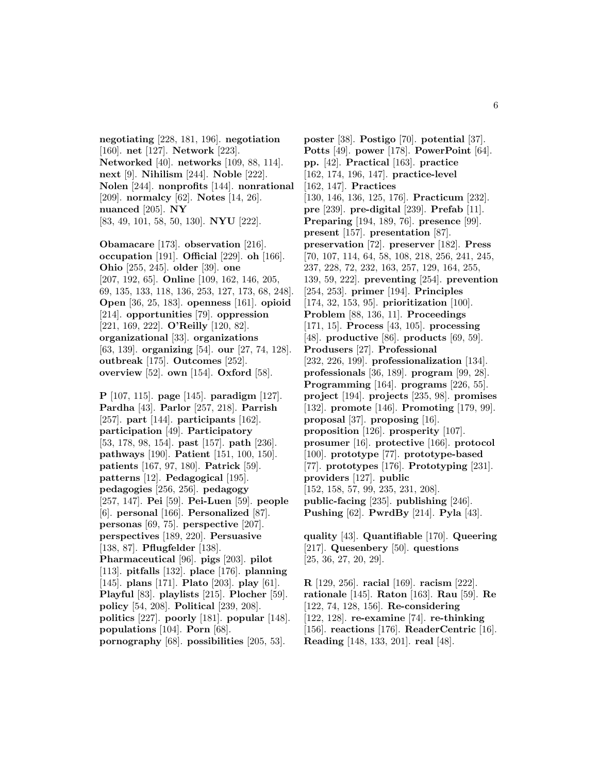**negotiating** [228, 181, 196]. **negotiation** [160]. **net** [127]. **Network** [223]. **Networked** [40]. **networks** [109, 88, 114]. **next** [9]. **Nihilism** [244]. **Noble** [222]. **Nolen** [244]. **nonprofits** [144]. **nonrational** [209]. **normalcy** [62]. **Notes** [14, 26]. **nuanced** [205]. **NY** [83, 49, 101, 58, 50, 130]. **NYU** [222].

**Obamacare** [173]. **observation** [216]. **occupation** [191]. **Official** [229]. **oh** [166]. **Ohio** [255, 245]. **older** [39]. **one** [207, 192, 65]. **Online** [109, 162, 146, 205, 69, 135, 133, 118, 136, 253, 127, 173, 68, 248]. **Open** [36, 25, 183]. **openness** [161]. **opioid** [214]. **opportunities** [79]. **oppression** [221, 169, 222]. **O'Reilly** [120, 82]. **organizational** [33]. **organizations** [63, 139]. **organizing** [54]. **our** [27, 74, 128]. **outbreak** [175]. **Outcomes** [252]. **overview** [52]. **own** [154]. **Oxford** [58].

**P** [107, 115]. **page** [145]. **paradigm** [127]. **Pardha** [43]. **Parlor** [257, 218]. **Parrish** [257]. **part** [144]. **participants** [162]. **participation** [49]. **Participatory** [53, 178, 98, 154]. **past** [157]. **path** [236]. **pathways** [190]. **Patient** [151, 100, 150]. **patients** [167, 97, 180]. **Patrick** [59]. **patterns** [12]. **Pedagogical** [195]. **pedagogies** [256, 256]. **pedagogy** [257, 147]. **Pei** [59]. **Pei-Luen** [59]. **people** [6]. **personal** [166]. **Personalized** [87]. **personas** [69, 75]. **perspective** [207]. **perspectives** [189, 220]. **Persuasive** [138, 87]. **Pflugfelder** [138]. **Pharmaceutical** [96]. **pigs** [203]. **pilot** [113]. **pitfalls** [132]. **place** [176]. **planning** [145]. **plans** [171]. **Plato** [203]. **play** [61]. **Playful** [83]. **playlists** [215]. **Plocher** [59]. **policy** [54, 208]. **Political** [239, 208]. **politics** [227]. **poorly** [181]. **popular** [148]. **populations** [104]. **Porn** [68]. **pornography** [68]. **possibilities** [205, 53].

**poster** [38]. **Postigo** [70]. **potential** [37]. **Potts** [49]. **power** [178]. **PowerPoint** [64]. **pp.** [42]. **Practical** [163]. **practice** [162, 174, 196, 147]. **practice-level** [162, 147]. **Practices** [130, 146, 136, 125, 176]. **Practicum** [232]. **pre** [239]. **pre-digital** [239]. **Prefab** [11]. **Preparing** [194, 189, 76]. **presence** [99]. **present** [157]. **presentation** [87]. **preservation** [72]. **preserver** [182]. **Press** [70, 107, 114, 64, 58, 108, 218, 256, 241, 245, 237, 228, 72, 232, 163, 257, 129, 164, 255, 139, 59, 222]. **preventing** [254]. **prevention** [254, 253]. **primer** [194]. **Principles** [174, 32, 153, 95]. **prioritization** [100]. **Problem** [88, 136, 11]. **Proceedings** [171, 15]. **Process** [43, 105]. **processing** [48]. **productive** [86]. **products** [69, 59]. **Produsers** [27]. **Professional** [232, 226, 199]. **professionalization** [134]. **professionals** [36, 189]. **program** [99, 28]. **Programming** [164]. **programs** [226, 55]. **project** [194]. **projects** [235, 98]. **promises** [132]. **promote** [146]. **Promoting** [179, 99]. **proposal** [37]. **proposing** [16]. **proposition** [126]. **prosperity** [107]. **prosumer** [16]. **protective** [166]. **protocol** [100]. **prototype** [77]. **prototype-based** [77]. **prototypes** [176]. **Prototyping** [231]. **providers** [127]. **public** [152, 158, 57, 99, 235, 231, 208]. **public-facing** [235]. **publishing** [246]. **Pushing** [62]. **PwrdBy** [214]. **Pyla** [43].

**quality** [43]. **Quantifiable** [170]. **Queering** [217]. **Quesenbery** [50]. **questions** [25, 36, 27, 20, 29].

**R** [129, 256]. **racial** [169]. **racism** [222]. **rationale** [145]. **Raton** [163]. **Rau** [59]. **Re** [122, 74, 128, 156]. **Re-considering** [122, 128]. **re-examine** [74]. **re-thinking** [156]. **reactions** [176]. **ReaderCentric** [16]. **Reading** [148, 133, 201]. **real** [48].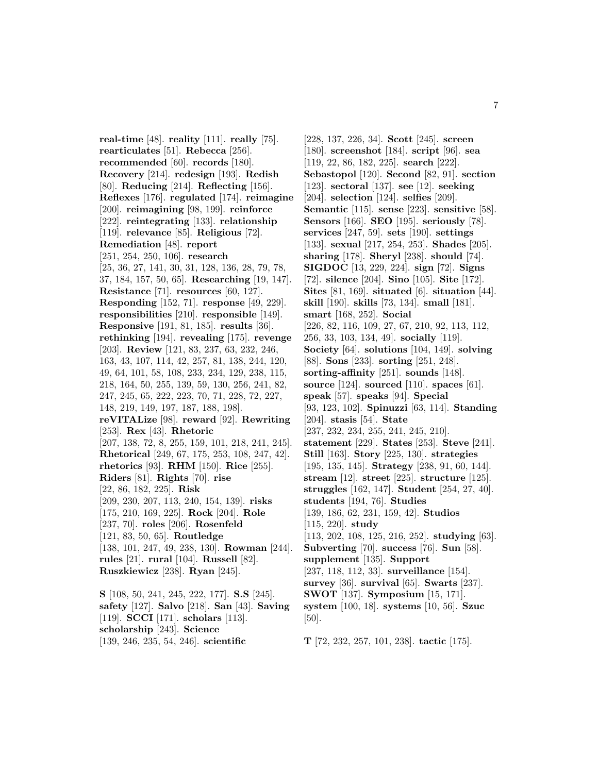**real-time** [48]. **reality** [111]. **really** [75]. **rearticulates** [51]. **Rebecca** [256]. **recommended** [60]. **records** [180]. **Recovery** [214]. **redesign** [193]. **Redish** [80]. **Reducing** [214]. **Reflecting** [156]. **Reflexes** [176]. **regulated** [174]. **reimagine** [200]. **reimagining** [98, 199]. **reinforce** [222]. **reintegrating** [133]. **relationship** [119]. **relevance** [85]. **Religious** [72]. **Remediation** [48]. **report** [251, 254, 250, 106]. **research** [25, 36, 27, 141, 30, 31, 128, 136, 28, 79, 78, 37, 184, 157, 50, 65]. **Researching** [19, 147]. **Resistance** [71]. **resources** [60, 127]. **Responding** [152, 71]. **response** [49, 229]. **responsibilities** [210]. **responsible** [149]. **Responsive** [191, 81, 185]. **results** [36]. **rethinking** [194]. **revealing** [175]. **revenge** [203]. **Review** [121, 83, 237, 63, 232, 246, 163, 43, 107, 114, 42, 257, 81, 138, 244, 120, 49, 64, 101, 58, 108, 233, 234, 129, 238, 115, 218, 164, 50, 255, 139, 59, 130, 256, 241, 82, 247, 245, 65, 222, 223, 70, 71, 228, 72, 227, 148, 219, 149, 197, 187, 188, 198]. **reVITALize** [98]. **reward** [92]. **Rewriting** [253]. **Rex** [43]. **Rhetoric** [207, 138, 72, 8, 255, 159, 101, 218, 241, 245]. **Rhetorical** [249, 67, 175, 253, 108, 247, 42]. **rhetorics** [93]. **RHM** [150]. **Rice** [255]. **Riders** [81]. **Rights** [70]. **rise** [22, 86, 182, 225]. **Risk** [209, 230, 207, 113, 240, 154, 139]. **risks** [175, 210, 169, 225]. **Rock** [204]. **Role** [237, 70]. **roles** [206]. **Rosenfeld** [121, 83, 50, 65]. **Routledge** [138, 101, 247, 49, 238, 130]. **Rowman** [244]. **rules** [21]. **rural** [104]. **Russell** [82]. **Ruszkiewicz** [238]. **Ryan** [245]. **S** [108, 50, 241, 245, 222, 177]. **S.S** [245].

**safety** [127]. **Salvo** [218]. **San** [43]. **Saving** [119]. **SCCI** [171]. **scholars** [113]. **scholarship** [243]. **Science** [139, 246, 235, 54, 246]. **scientific**

[228, 137, 226, 34]. **Scott** [245]. **screen** [180]. **screenshot** [184]. **script** [96]. **sea** [119, 22, 86, 182, 225]. **search** [222]. **Sebastopol** [120]. **Second** [82, 91]. **section** [123]. **sectoral** [137]. **see** [12]. **seeking** [204]. **selection** [124]. **selfies** [209]. **Semantic** [115]. **sense** [223]. **sensitive** [58]. **Sensors** [166]. **SEO** [195]. **seriously** [78]. **services** [247, 59]. **sets** [190]. **settings** [133]. **sexual** [217, 254, 253]. **Shades** [205]. **sharing** [178]. **Sheryl** [238]. **should** [74]. **SIGDOC** [13, 229, 224]. **sign** [72]. **Signs** [72]. **silence** [204]. **Sino** [105]. **Site** [172]. **Sites** [81, 169]. **situated** [6]. **situation** [44]. **skill** [190]. **skills** [73, 134]. **small** [181]. **smart** [168, 252]. **Social** [226, 82, 116, 109, 27, 67, 210, 92, 113, 112, 256, 33, 103, 134, 49]. **socially** [119]. **Society** [64]. **solutions** [104, 149]. **solving** [88]. **Sons** [233]. **sorting** [251, 248]. **sorting-affinity** [251]. **sounds** [148]. **source** [124]. **sourced** [110]. **spaces** [61]. **speak** [57]. **speaks** [94]. **Special** [93, 123, 102]. **Spinuzzi** [63, 114]. **Standing** [204]. **stasis** [54]. **State** [237, 232, 234, 255, 241, 245, 210]. **statement** [229]. **States** [253]. **Steve** [241]. **Still** [163]. **Story** [225, 130]. **strategies** [195, 135, 145]. **Strategy** [238, 91, 60, 144]. **stream** [12]. **street** [225]. **structure** [125]. **struggles** [162, 147]. **Student** [254, 27, 40]. **students** [194, 76]. **Studies** [139, 186, 62, 231, 159, 42]. **Studios** [115, 220]. **study** [113, 202, 108, 125, 216, 252]. **studying** [63]. **Subverting** [70]. **success** [76]. **Sun** [58]. **supplement** [135]. **Support** [237, 118, 112, 33]. **surveillance** [154]. **survey** [36]. **survival** [65]. **Swarts** [237]. **SWOT** [137]. **Symposium** [15, 171]. **system** [100, 18]. **systems** [10, 56]. **Szuc** [50].

**T** [72, 232, 257, 101, 238]. **tactic** [175].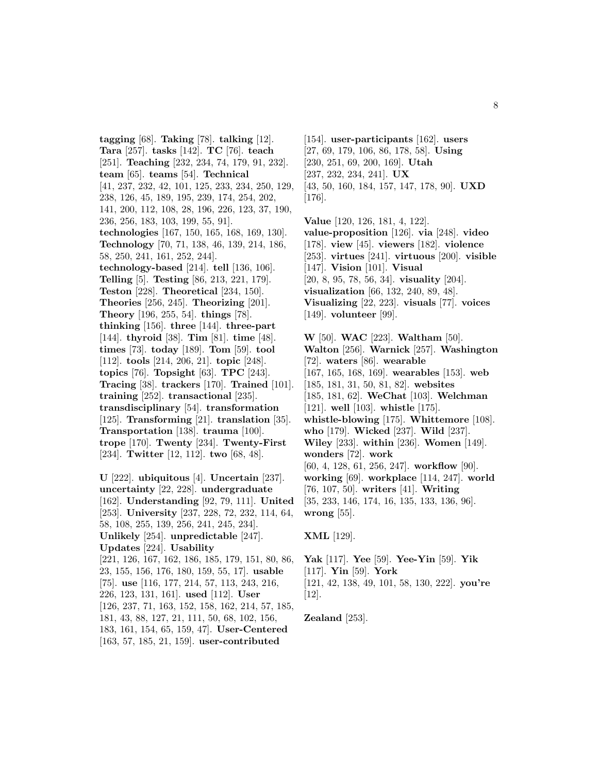**tagging** [68]. **Taking** [78]. **talking** [12]. **Tara** [257]. **tasks** [142]. **TC** [76]. **teach** [251]. **Teaching** [232, 234, 74, 179, 91, 232]. **team** [65]. **teams** [54]. **Technical** [41, 237, 232, 42, 101, 125, 233, 234, 250, 129, 238, 126, 45, 189, 195, 239, 174, 254, 202, 141, 200, 112, 108, 28, 196, 226, 123, 37, 190, 236, 256, 183, 103, 199, 55, 91]. **technologies** [167, 150, 165, 168, 169, 130]. **Technology** [70, 71, 138, 46, 139, 214, 186, 58, 250, 241, 161, 252, 244]. **technology-based** [214]. **tell** [136, 106]. **Telling** [5]. **Testing** [86, 213, 221, 179]. **Teston** [228]. **Theoretical** [234, 150]. **Theories** [256, 245]. **Theorizing** [201]. **Theory** [196, 255, 54]. **things** [78]. **thinking** [156]. **three** [144]. **three-part** [144]. **thyroid** [38]. **Tim** [81]. **time** [48]. **times** [73]. **today** [189]. **Tom** [59]. **tool** [112]. **tools** [214, 206, 21]. **topic** [248]. **topics** [76]. **Topsight** [63]. **TPC** [243]. **Tracing** [38]. **trackers** [170]. **Trained** [101]. **training** [252]. **transactional** [235]. **transdisciplinary** [54]. **transformation** [125]. **Transforming** [21]. **translation** [35]. **Transportation** [138]. **trauma** [100]. **trope** [170]. **Twenty** [234]. **Twenty-First** [234]. **Twitter** [12, 112]. **two** [68, 48]. **U** [222]. **ubiquitous** [4]. **Uncertain** [237].

**uncertainty** [22, 228]. **undergraduate** [162]. **Understanding** [92, 79, 111]. **United** [253]. **University** [237, 228, 72, 232, 114, 64, 58, 108, 255, 139, 256, 241, 245, 234]. **Unlikely** [254]. **unpredictable** [247]. **Updates** [224]. **Usability** [221, 126, 167, 162, 186, 185, 179, 151, 80, 86, 23, 155, 156, 176, 180, 159, 55, 17]. **usable** [75]. **use** [116, 177, 214, 57, 113, 243, 216, 226, 123, 131, 161]. **used** [112]. **User** [126, 237, 71, 163, 152, 158, 162, 214, 57, 185, 181, 43, 88, 127, 21, 111, 50, 68, 102, 156, 183, 161, 154, 65, 159, 47]. **User-Centered** [163, 57, 185, 21, 159]. **user-contributed**

[154]. **user-participants** [162]. **users** [27, 69, 179, 106, 86, 178, 58]. **Using** [230, 251, 69, 200, 169]. **Utah** [237, 232, 234, 241]. **UX** [43, 50, 160, 184, 157, 147, 178, 90]. **UXD** [176].

**Value** [120, 126, 181, 4, 122]. **value-proposition** [126]. **via** [248]. **video** [178]. **view** [45]. **viewers** [182]. **violence** [253]. **virtues** [241]. **virtuous** [200]. **visible** [147]. **Vision** [101]. **Visual** [20, 8, 95, 78, 56, 34]. **visuality** [204]. **visualization** [66, 132, 240, 89, 48]. **Visualizing** [22, 223]. **visuals** [77]. **voices** [149]. **volunteer** [99].

**W** [50]. **WAC** [223]. **Waltham** [50]. **Walton** [256]. **Warnick** [257]. **Washington** [72]. **waters** [86]. **wearable** [167, 165, 168, 169]. **wearables** [153]. **web** [185, 181, 31, 50, 81, 82]. **websites** [185, 181, 62]. **WeChat** [103]. **Welchman** [121]. **well** [103]. **whistle** [175]. **whistle-blowing** [175]. **Whittemore** [108]. **who** [179]. **Wicked** [237]. **Wild** [237]. **Wiley** [233]. **within** [236]. **Women** [149]. **wonders** [72]. **work** [60, 4, 128, 61, 256, 247]. **workflow** [90]. **working** [69]. **workplace** [114, 247]. **world** [76, 107, 50]. **writers** [41]. **Writing** [35, 233, 146, 174, 16, 135, 133, 136, 96]. **wrong** [55].

**XML** [129].

**Yak** [117]. **Yee** [59]. **Yee-Yin** [59]. **Yik** [117]. **Yin** [59]. **York** [121, 42, 138, 49, 101, 58, 130, 222]. **you're** [12].

**Zealand** [253].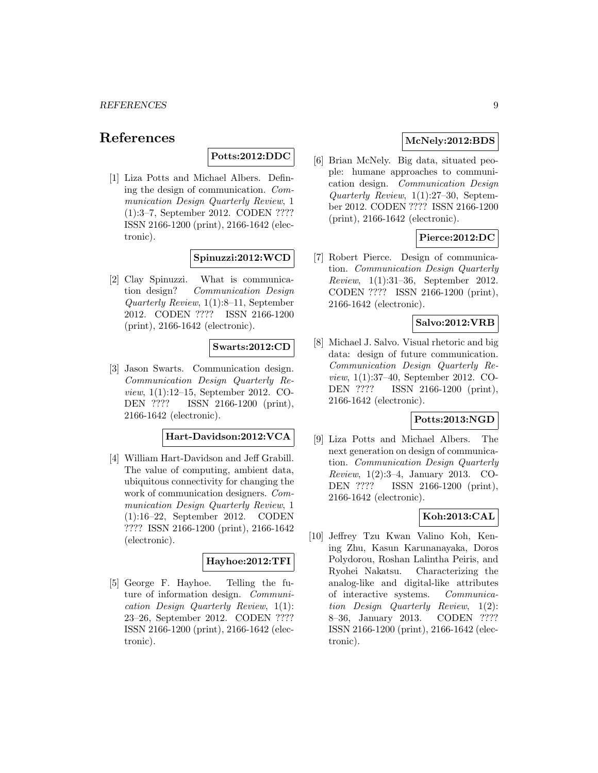# **References**

# **Potts:2012:DDC**

[1] Liza Potts and Michael Albers. Defining the design of communication. Communication Design Quarterly Review, 1 (1):3–7, September 2012. CODEN ???? ISSN 2166-1200 (print), 2166-1642 (electronic).

# **Spinuzzi:2012:WCD**

[2] Clay Spinuzzi. What is communication design? Communication Design Quarterly Review, 1(1):8–11, September 2012. CODEN ???? ISSN 2166-1200 (print), 2166-1642 (electronic).

#### **Swarts:2012:CD**

[3] Jason Swarts. Communication design. Communication Design Quarterly Review, 1(1):12–15, September 2012. CO-DEN ???? ISSN 2166-1200 (print), 2166-1642 (electronic).

# **Hart-Davidson:2012:VCA**

[4] William Hart-Davidson and Jeff Grabill. The value of computing, ambient data, ubiquitous connectivity for changing the work of communication designers. Communication Design Quarterly Review, 1 (1):16–22, September 2012. CODEN ???? ISSN 2166-1200 (print), 2166-1642 (electronic).

#### **Hayhoe:2012:TFI**

[5] George F. Hayhoe. Telling the future of information design. Communication Design Quarterly Review, 1(1): 23–26, September 2012. CODEN ???? ISSN 2166-1200 (print), 2166-1642 (electronic).

# **McNely:2012:BDS**

[6] Brian McNely. Big data, situated people: humane approaches to communication design. Communication Design Quarterly Review, 1(1):27–30, September 2012. CODEN ???? ISSN 2166-1200 (print), 2166-1642 (electronic).

# **Pierce:2012:DC**

[7] Robert Pierce. Design of communication. Communication Design Quarterly Review, 1(1):31–36, September 2012. CODEN ???? ISSN 2166-1200 (print), 2166-1642 (electronic).

# **Salvo:2012:VRB**

[8] Michael J. Salvo. Visual rhetoric and big data: design of future communication. Communication Design Quarterly Review, 1(1):37–40, September 2012. CO-DEN ???? ISSN 2166-1200 (print), 2166-1642 (electronic).

# **Potts:2013:NGD**

[9] Liza Potts and Michael Albers. The next generation on design of communication. Communication Design Quarterly Review, 1(2):3–4, January 2013. CO-DEN ???? ISSN 2166-1200 (print), 2166-1642 (electronic).

# **Koh:2013:CAL**

[10] Jeffrey Tzu Kwan Valino Koh, Kening Zhu, Kasun Karunanayaka, Doros Polydorou, Roshan Lalintha Peiris, and Ryohei Nakatsu. Characterizing the analog-like and digital-like attributes of interactive systems. Communication Design Quarterly Review, 1(2): 8–36, January 2013. CODEN ???? ISSN 2166-1200 (print), 2166-1642 (electronic).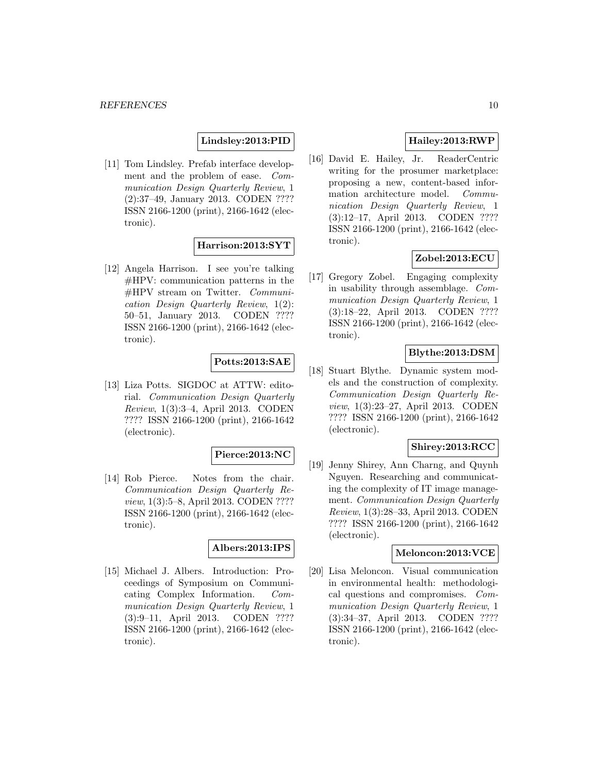#### **Lindsley:2013:PID**

[11] Tom Lindsley. Prefab interface development and the problem of ease. Communication Design Quarterly Review, 1 (2):37–49, January 2013. CODEN ???? ISSN 2166-1200 (print), 2166-1642 (electronic).

# **Harrison:2013:SYT**

[12] Angela Harrison. I see you're talking #HPV: communication patterns in the #HPV stream on Twitter. Communication Design Quarterly Review, 1(2): 50–51, January 2013. CODEN ???? ISSN 2166-1200 (print), 2166-1642 (electronic).

### **Potts:2013:SAE**

[13] Liza Potts. SIGDOC at ATTW: editorial. Communication Design Quarterly Review, 1(3):3–4, April 2013. CODEN ???? ISSN 2166-1200 (print), 2166-1642 (electronic).

# **Pierce:2013:NC**

[14] Rob Pierce. Notes from the chair. Communication Design Quarterly Review, 1(3):5–8, April 2013. CODEN ???? ISSN 2166-1200 (print), 2166-1642 (electronic).

#### **Albers:2013:IPS**

[15] Michael J. Albers. Introduction: Proceedings of Symposium on Communicating Complex Information. Communication Design Quarterly Review, 1 (3):9–11, April 2013. CODEN ???? ISSN 2166-1200 (print), 2166-1642 (electronic).

# **Hailey:2013:RWP**

[16] David E. Hailey, Jr. ReaderCentric writing for the prosumer marketplace: proposing a new, content-based information architecture model. Communication Design Quarterly Review, 1 (3):12–17, April 2013. CODEN ???? ISSN 2166-1200 (print), 2166-1642 (electronic).

# **Zobel:2013:ECU**

[17] Gregory Zobel. Engaging complexity in usability through assemblage. Communication Design Quarterly Review, 1 (3):18–22, April 2013. CODEN ???? ISSN 2166-1200 (print), 2166-1642 (electronic).

# **Blythe:2013:DSM**

[18] Stuart Blythe. Dynamic system models and the construction of complexity. Communication Design Quarterly Review, 1(3):23–27, April 2013. CODEN ???? ISSN 2166-1200 (print), 2166-1642 (electronic).

#### **Shirey:2013:RCC**

[19] Jenny Shirey, Ann Charng, and Quynh Nguyen. Researching and communicating the complexity of IT image management. Communication Design Quarterly Review, 1(3):28–33, April 2013. CODEN ???? ISSN 2166-1200 (print), 2166-1642 (electronic).

#### **Meloncon:2013:VCE**

[20] Lisa Meloncon. Visual communication in environmental health: methodological questions and compromises. Communication Design Quarterly Review, 1 (3):34–37, April 2013. CODEN ???? ISSN 2166-1200 (print), 2166-1642 (electronic).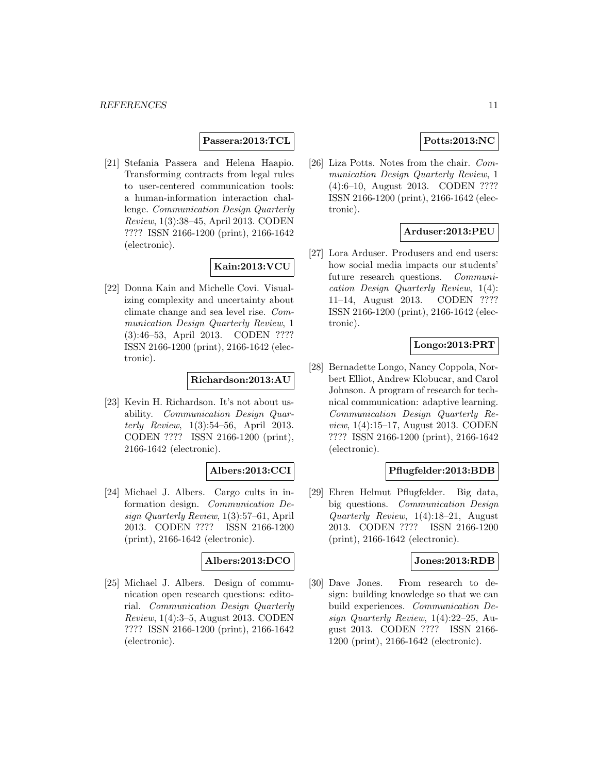#### **Passera:2013:TCL**

[21] Stefania Passera and Helena Haapio. Transforming contracts from legal rules to user-centered communication tools: a human-information interaction challenge. Communication Design Quarterly Review, 1(3):38–45, April 2013. CODEN ???? ISSN 2166-1200 (print), 2166-1642 (electronic).

# **Kain:2013:VCU**

[22] Donna Kain and Michelle Covi. Visualizing complexity and uncertainty about climate change and sea level rise. Communication Design Quarterly Review, 1 (3):46–53, April 2013. CODEN ???? ISSN 2166-1200 (print), 2166-1642 (electronic).

# **Richardson:2013:AU**

[23] Kevin H. Richardson. It's not about usability. Communication Design Quarterly Review, 1(3):54–56, April 2013. CODEN ???? ISSN 2166-1200 (print), 2166-1642 (electronic).

#### **Albers:2013:CCI**

[24] Michael J. Albers. Cargo cults in information design. Communication Design Quarterly Review, 1(3):57–61, April 2013. CODEN ???? ISSN 2166-1200 (print), 2166-1642 (electronic).

# **Albers:2013:DCO**

[25] Michael J. Albers. Design of communication open research questions: editorial. Communication Design Quarterly Review, 1(4):3–5, August 2013. CODEN ???? ISSN 2166-1200 (print), 2166-1642 (electronic).

# **Potts:2013:NC**

[26] Liza Potts. Notes from the chair. Communication Design Quarterly Review, 1 (4):6–10, August 2013. CODEN ???? ISSN 2166-1200 (print), 2166-1642 (electronic).

# **Arduser:2013:PEU**

[27] Lora Arduser. Produsers and end users: how social media impacts our students' future research questions. Communication Design Quarterly Review, 1(4): 11–14, August 2013. CODEN ???? ISSN 2166-1200 (print), 2166-1642 (electronic).

#### **Longo:2013:PRT**

[28] Bernadette Longo, Nancy Coppola, Norbert Elliot, Andrew Klobucar, and Carol Johnson. A program of research for technical communication: adaptive learning. Communication Design Quarterly Review, 1(4):15–17, August 2013. CODEN ???? ISSN 2166-1200 (print), 2166-1642 (electronic).

#### **Pflugfelder:2013:BDB**

[29] Ehren Helmut Pflugfelder. Big data, big questions. *Communication Design* Quarterly Review, 1(4):18–21, August 2013. CODEN ???? ISSN 2166-1200 (print), 2166-1642 (electronic).

#### **Jones:2013:RDB**

[30] Dave Jones. From research to design: building knowledge so that we can build experiences. Communication Design Quarterly Review, 1(4):22–25, August 2013. CODEN ???? ISSN 2166- 1200 (print), 2166-1642 (electronic).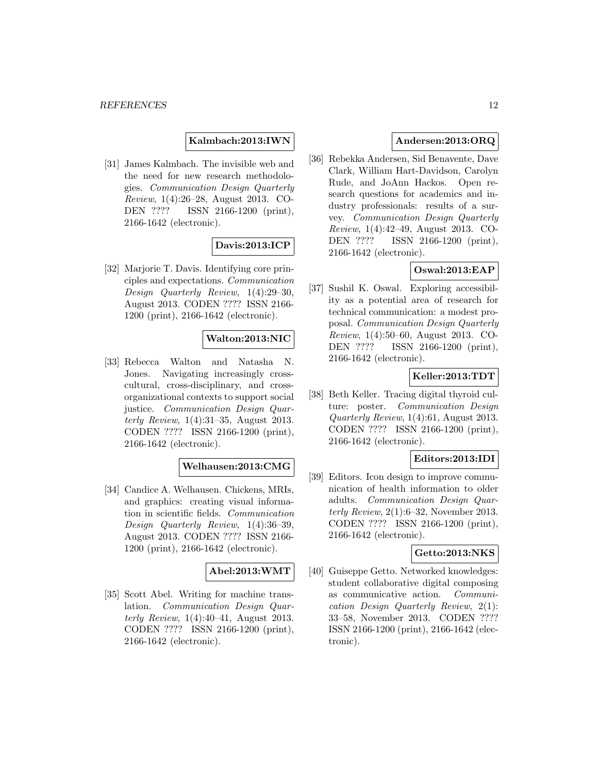**Kalmbach:2013:IWN**

[31] James Kalmbach. The invisible web and the need for new research methodologies. Communication Design Quarterly Review, 1(4):26–28, August 2013. CO-DEN ???? ISSN 2166-1200 (print), 2166-1642 (electronic).

# **Davis:2013:ICP**

[32] Marjorie T. Davis. Identifying core principles and expectations. Communication Design Quarterly Review, 1(4):29–30, August 2013. CODEN ???? ISSN 2166- 1200 (print), 2166-1642 (electronic).

# **Walton:2013:NIC**

[33] Rebecca Walton and Natasha N. Jones. Navigating increasingly crosscultural, cross-disciplinary, and crossorganizational contexts to support social justice. Communication Design Quarterly Review, 1(4):31–35, August 2013. CODEN ???? ISSN 2166-1200 (print), 2166-1642 (electronic).

# **Welhausen:2013:CMG**

[34] Candice A. Welhausen. Chickens, MRIs, and graphics: creating visual information in scientific fields. Communication Design Quarterly Review, 1(4):36–39, August 2013. CODEN ???? ISSN 2166- 1200 (print), 2166-1642 (electronic).

#### **Abel:2013:WMT**

[35] Scott Abel. Writing for machine translation. Communication Design Quarterly Review, 1(4):40–41, August 2013. CODEN ???? ISSN 2166-1200 (print), 2166-1642 (electronic).

# **Andersen:2013:ORQ**

[36] Rebekka Andersen, Sid Benavente, Dave Clark, William Hart-Davidson, Carolyn Rude, and JoAnn Hackos. Open research questions for academics and industry professionals: results of a survey. Communication Design Quarterly Review, 1(4):42–49, August 2013. CO-DEN ???? ISSN 2166-1200 (print), 2166-1642 (electronic).

# **Oswal:2013:EAP**

[37] Sushil K. Oswal. Exploring accessibility as a potential area of research for technical communication: a modest proposal. Communication Design Quarterly Review, 1(4):50–60, August 2013. CO-DEN ???? ISSN 2166-1200 (print), 2166-1642 (electronic).

# **Keller:2013:TDT**

[38] Beth Keller. Tracing digital thyroid culture: poster. Communication Design Quarterly Review, 1(4):61, August 2013. CODEN ???? ISSN 2166-1200 (print), 2166-1642 (electronic).

#### **Editors:2013:IDI**

[39] Editors. Icon design to improve communication of health information to older adults. Communication Design Quarterly Review,  $2(1):6-32$ , November 2013. CODEN ???? ISSN 2166-1200 (print), 2166-1642 (electronic).

#### **Getto:2013:NKS**

[40] Guiseppe Getto. Networked knowledges: student collaborative digital composing as communicative action. Communication Design Quarterly Review, 2(1): 33–58, November 2013. CODEN ???? ISSN 2166-1200 (print), 2166-1642 (electronic).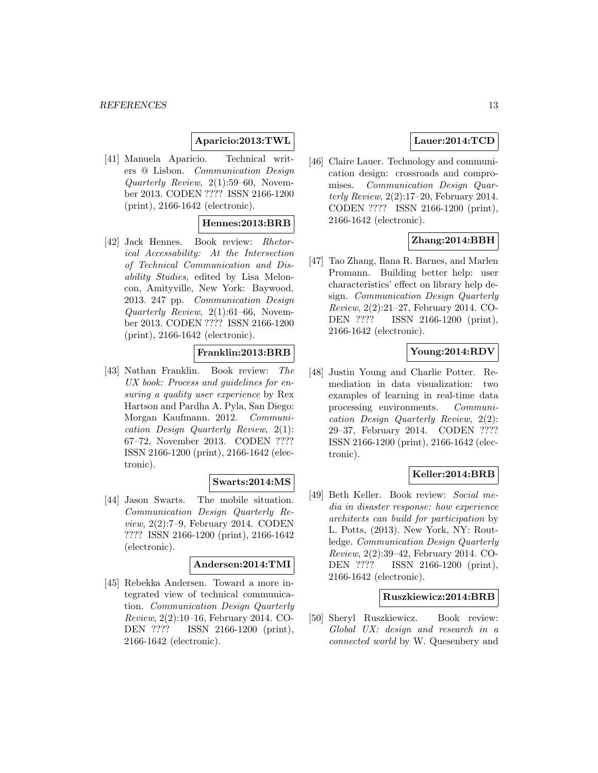# **Aparicio:2013:TWL**

[41] Manuela Aparicio. Technical writers @ Lisbon. Communication Design Quarterly Review, 2(1):59–60, November 2013. CODEN ???? ISSN 2166-1200 (print), 2166-1642 (electronic).

#### **Hennes:2013:BRB**

[42] Jack Hennes. Book review: Rhetorical Accessability: At the Intersection of Technical Communication and Disability Studies, edited by Lisa Meloncon, Amityville, New York: Baywood, 2013. 247 pp. Communication Design Quarterly Review, 2(1):61–66, November 2013. CODEN ???? ISSN 2166-1200 (print), 2166-1642 (electronic).

# **Franklin:2013:BRB**

[43] Nathan Franklin. Book review: The UX book: Process and guidelines for ensuring a quality user experience by Rex Hartson and Pardha A. Pyla, San Diego: Morgan Kaufmann. 2012. Communication Design Quarterly Review, 2(1): 67–72, November 2013. CODEN ???? ISSN 2166-1200 (print), 2166-1642 (electronic).

# **Swarts:2014:MS**

[44] Jason Swarts. The mobile situation. Communication Design Quarterly Review, 2(2):7–9, February 2014. CODEN ???? ISSN 2166-1200 (print), 2166-1642 (electronic).

### **Andersen:2014:TMI**

[45] Rebekka Andersen. Toward a more integrated view of technical communication. Communication Design Quarterly Review, 2(2):10–16, February 2014. CO-DEN ???? ISSN 2166-1200 (print), 2166-1642 (electronic).

#### **Lauer:2014:TCD**

[46] Claire Lauer. Technology and communication design: crossroads and compromises. Communication Design Quarterly Review, 2(2):17–20, February 2014. CODEN ???? ISSN 2166-1200 (print), 2166-1642 (electronic).

# **Zhang:2014:BBH**

[47] Tao Zhang, Ilana R. Barnes, and Marlen Promann. Building better help: user characteristics' effect on library help design. Communication Design Quarterly Review, 2(2):21–27, February 2014. CO-DEN ???? ISSN 2166-1200 (print), 2166-1642 (electronic).

### **Young:2014:RDV**

[48] Justin Young and Charlie Potter. Remediation in data visualization: two examples of learning in real-time data processing environments. Communication Design Quarterly Review, 2(2): 29–37, February 2014. CODEN ???? ISSN 2166-1200 (print), 2166-1642 (electronic).

#### **Keller:2014:BRB**

[49] Beth Keller. Book review: Social media in disaster response: how experience architects can build for participation by L. Potts, (2013). New York, NY: Routledge. Communication Design Quarterly Review, 2(2):39–42, February 2014. CO-DEN ???? ISSN 2166-1200 (print), 2166-1642 (electronic).

#### **Ruszkiewicz:2014:BRB**

[50] Sheryl Ruszkiewicz. Book review: Global UX: design and research in a connected world by W. Quesenbery and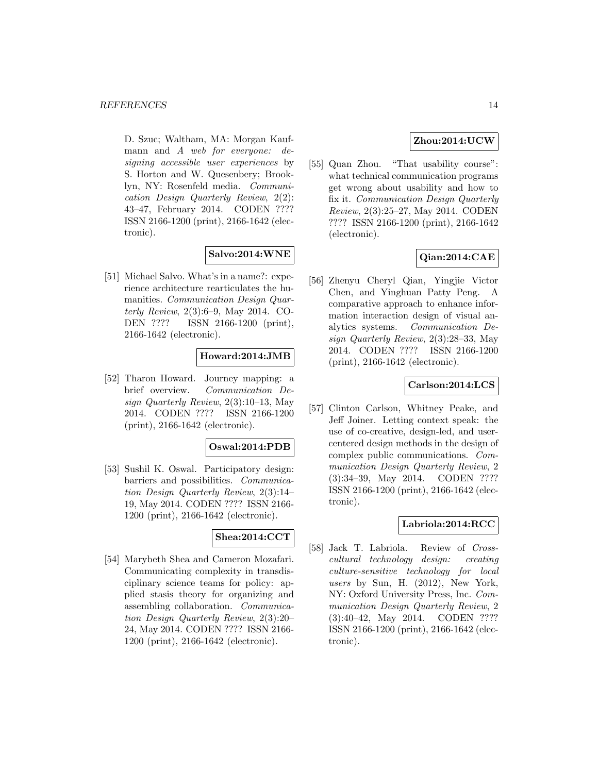D. Szuc; Waltham, MA: Morgan Kaufmann and A web for everyone: designing accessible user experiences by S. Horton and W. Quesenbery; Brooklyn, NY: Rosenfeld media. Communication Design Quarterly Review, 2(2): 43–47, February 2014. CODEN ???? ISSN 2166-1200 (print), 2166-1642 (electronic).

# **Salvo:2014:WNE**

[51] Michael Salvo. What's in a name?: experience architecture rearticulates the humanities. Communication Design Quarterly Review, 2(3):6–9, May 2014. CO-DEN ???? ISSN 2166-1200 (print), 2166-1642 (electronic).

# **Howard:2014:JMB**

[52] Tharon Howard. Journey mapping: a brief overview. Communication Design Quarterly Review, 2(3):10–13, May 2014. CODEN ???? ISSN 2166-1200 (print), 2166-1642 (electronic).

#### **Oswal:2014:PDB**

[53] Sushil K. Oswal. Participatory design: barriers and possibilities. Communication Design Quarterly Review, 2(3):14– 19, May 2014. CODEN ???? ISSN 2166- 1200 (print), 2166-1642 (electronic).

# **Shea:2014:CCT**

[54] Marybeth Shea and Cameron Mozafari. Communicating complexity in transdisciplinary science teams for policy: applied stasis theory for organizing and assembling collaboration. Communication Design Quarterly Review, 2(3):20– 24, May 2014. CODEN ???? ISSN 2166- 1200 (print), 2166-1642 (electronic).

#### **Zhou:2014:UCW**

[55] Quan Zhou. "That usability course": what technical communication programs get wrong about usability and how to fix it. Communication Design Quarterly Review, 2(3):25–27, May 2014. CODEN ???? ISSN 2166-1200 (print), 2166-1642 (electronic).

# **Qian:2014:CAE**

[56] Zhenyu Cheryl Qian, Yingjie Victor Chen, and Yinghuan Patty Peng. A comparative approach to enhance information interaction design of visual analytics systems. Communication Design Quarterly Review, 2(3):28–33, May 2014. CODEN ???? ISSN 2166-1200 (print), 2166-1642 (electronic).

# **Carlson:2014:LCS**

[57] Clinton Carlson, Whitney Peake, and Jeff Joiner. Letting context speak: the use of co-creative, design-led, and usercentered design methods in the design of complex public communications. Communication Design Quarterly Review, 2 (3):34–39, May 2014. CODEN ???? ISSN 2166-1200 (print), 2166-1642 (electronic).

#### **Labriola:2014:RCC**

[58] Jack T. Labriola. Review of Crosscultural technology design: creating culture-sensitive technology for local users by Sun, H. (2012), New York, NY: Oxford University Press, Inc. Communication Design Quarterly Review, 2 (3):40–42, May 2014. CODEN ???? ISSN 2166-1200 (print), 2166-1642 (electronic).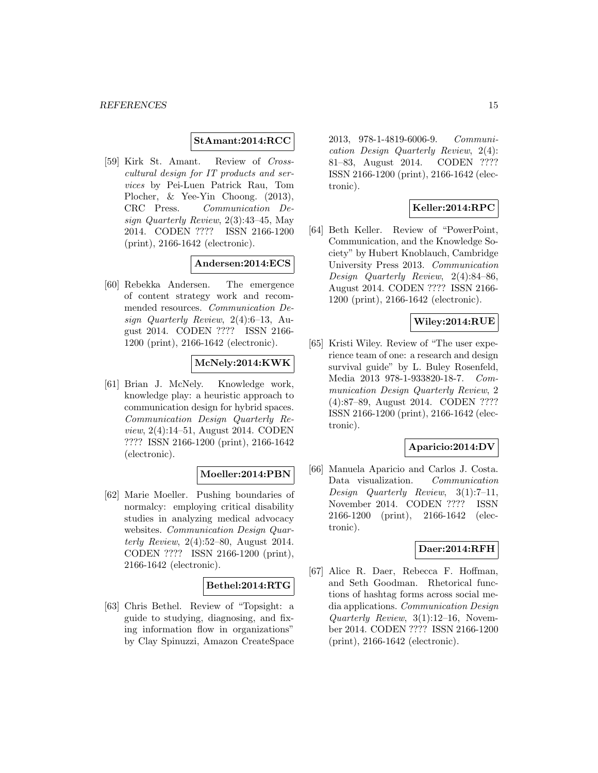#### **StAmant:2014:RCC**

[59] Kirk St. Amant. Review of Crosscultural design for IT products and services by Pei-Luen Patrick Rau, Tom Plocher, & Yee-Yin Choong. (2013), CRC Press. Communication Design Quarterly Review, 2(3):43–45, May 2014. CODEN ???? ISSN 2166-1200 (print), 2166-1642 (electronic).

#### **Andersen:2014:ECS**

[60] Rebekka Andersen. The emergence of content strategy work and recommended resources. Communication Design Quarterly Review, 2(4):6–13, August 2014. CODEN ???? ISSN 2166- 1200 (print), 2166-1642 (electronic).

# **McNely:2014:KWK**

[61] Brian J. McNely. Knowledge work, knowledge play: a heuristic approach to communication design for hybrid spaces. Communication Design Quarterly Review, 2(4):14–51, August 2014. CODEN ???? ISSN 2166-1200 (print), 2166-1642 (electronic).

#### **Moeller:2014:PBN**

[62] Marie Moeller. Pushing boundaries of normalcy: employing critical disability studies in analyzing medical advocacy websites. Communication Design Quarterly Review, 2(4):52–80, August 2014. CODEN ???? ISSN 2166-1200 (print), 2166-1642 (electronic).

#### **Bethel:2014:RTG**

[63] Chris Bethel. Review of "Topsight: a guide to studying, diagnosing, and fixing information flow in organizations" by Clay Spinuzzi, Amazon CreateSpace

2013, 978-1-4819-6006-9. Communication Design Quarterly Review, 2(4): 81–83, August 2014. CODEN ???? ISSN 2166-1200 (print), 2166-1642 (electronic).

# **Keller:2014:RPC**

[64] Beth Keller. Review of "PowerPoint, Communication, and the Knowledge Society" by Hubert Knoblauch, Cambridge University Press 2013. Communication Design Quarterly Review, 2(4):84–86, August 2014. CODEN ???? ISSN 2166- 1200 (print), 2166-1642 (electronic).

# **Wiley:2014:RUE**

[65] Kristi Wiley. Review of "The user experience team of one: a research and design survival guide" by L. Buley Rosenfeld, Media 2013 978-1-933820-18-7. Communication Design Quarterly Review, 2 (4):87–89, August 2014. CODEN ???? ISSN 2166-1200 (print), 2166-1642 (electronic).

#### **Aparicio:2014:DV**

[66] Manuela Aparicio and Carlos J. Costa. Data visualization. Communication Design Quarterly Review, 3(1):7–11, November 2014. CODEN ???? ISSN 2166-1200 (print), 2166-1642 (electronic).

#### **Daer:2014:RFH**

[67] Alice R. Daer, Rebecca F. Hoffman, and Seth Goodman. Rhetorical functions of hashtag forms across social media applications. Communication Design Quarterly Review, 3(1):12–16, November 2014. CODEN ???? ISSN 2166-1200 (print), 2166-1642 (electronic).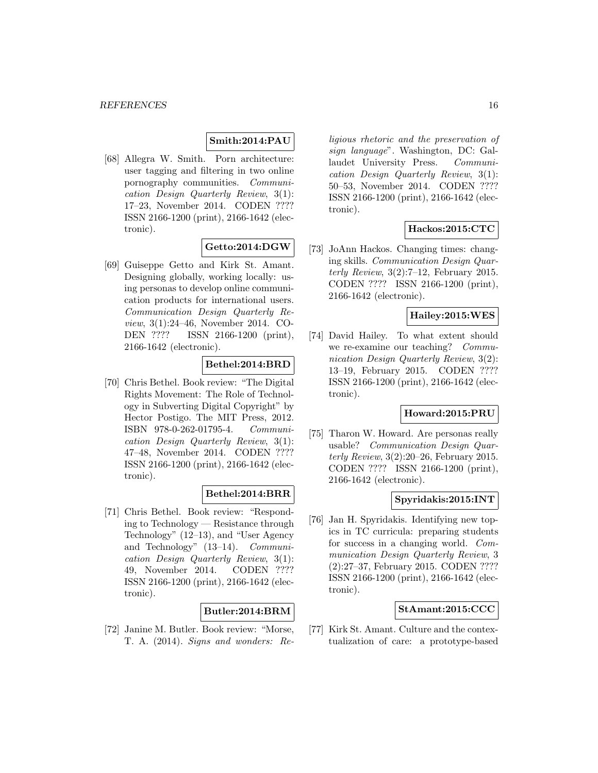# **Smith:2014:PAU**

[68] Allegra W. Smith. Porn architecture: user tagging and filtering in two online pornography communities. Communication Design Quarterly Review, 3(1): 17–23, November 2014. CODEN ???? ISSN 2166-1200 (print), 2166-1642 (electronic).

#### **Getto:2014:DGW**

[69] Guiseppe Getto and Kirk St. Amant. Designing globally, working locally: using personas to develop online communication products for international users. Communication Design Quarterly Review, 3(1):24–46, November 2014. CO-DEN ???? ISSN 2166-1200 (print), 2166-1642 (electronic).

# **Bethel:2014:BRD**

[70] Chris Bethel. Book review: "The Digital Rights Movement: The Role of Technology in Subverting Digital Copyright" by Hector Postigo. The MIT Press, 2012. ISBN 978-0-262-01795-4. Communication Design Quarterly Review, 3(1): 47–48, November 2014. CODEN ???? ISSN 2166-1200 (print), 2166-1642 (electronic).

# **Bethel:2014:BRR**

[71] Chris Bethel. Book review: "Responding to Technology — Resistance through Technology" (12–13), and "User Agency and Technology" (13–14). Communication Design Quarterly Review, 3(1): 49, November 2014. CODEN ???? ISSN 2166-1200 (print), 2166-1642 (electronic).

# **Butler:2014:BRM**

[72] Janine M. Butler. Book review: "Morse, T. A. (2014). Signs and wonders: Religious rhetoric and the preservation of sign language". Washington, DC: Gallaudet University Press. Communication Design Quarterly Review, 3(1): 50–53, November 2014. CODEN ???? ISSN 2166-1200 (print), 2166-1642 (electronic).

# **Hackos:2015:CTC**

[73] JoAnn Hackos. Changing times: changing skills. Communication Design Quarterly Review,  $3(2)$ :7-12, February 2015. CODEN ???? ISSN 2166-1200 (print), 2166-1642 (electronic).

#### **Hailey:2015:WES**

[74] David Hailey. To what extent should we re-examine our teaching? Communication Design Quarterly Review, 3(2): 13–19, February 2015. CODEN ???? ISSN 2166-1200 (print), 2166-1642 (electronic).

# **Howard:2015:PRU**

[75] Tharon W. Howard. Are personas really usable? Communication Design Quarterly Review, 3(2):20–26, February 2015. CODEN ???? ISSN 2166-1200 (print), 2166-1642 (electronic).

# **Spyridakis:2015:INT**

[76] Jan H. Spyridakis. Identifying new topics in TC curricula: preparing students for success in a changing world. Communication Design Quarterly Review, 3 (2):27–37, February 2015. CODEN ???? ISSN 2166-1200 (print), 2166-1642 (electronic).

#### **StAmant:2015:CCC**

[77] Kirk St. Amant. Culture and the contextualization of care: a prototype-based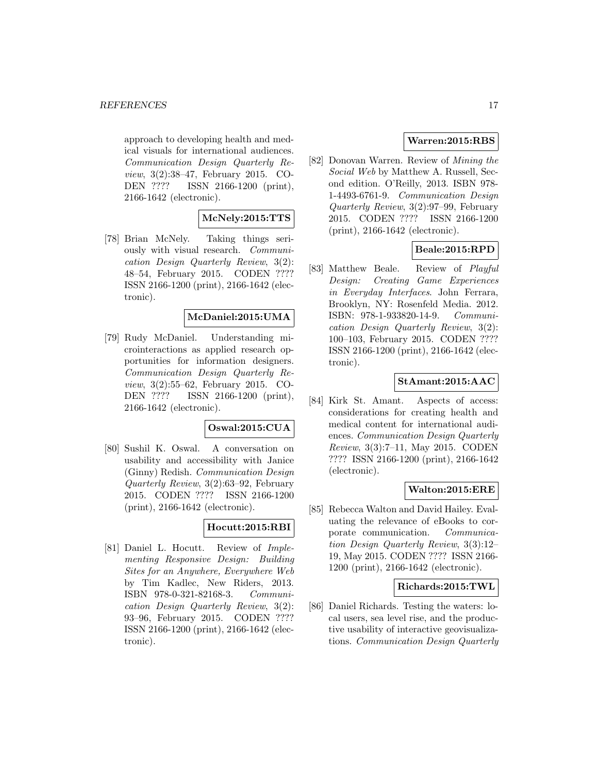approach to developing health and medical visuals for international audiences. Communication Design Quarterly Review, 3(2):38–47, February 2015. CO-DEN ???? ISSN 2166-1200 (print), 2166-1642 (electronic).

#### **McNely:2015:TTS**

[78] Brian McNely. Taking things seriously with visual research. Communication Design Quarterly Review, 3(2): 48–54, February 2015. CODEN ???? ISSN 2166-1200 (print), 2166-1642 (electronic).

# **McDaniel:2015:UMA**

[79] Rudy McDaniel. Understanding microinteractions as applied research opportunities for information designers. Communication Design Quarterly Review, 3(2):55–62, February 2015. CO-DEN ???? ISSN 2166-1200 (print), 2166-1642 (electronic).

#### **Oswal:2015:CUA**

[80] Sushil K. Oswal. A conversation on usability and accessibility with Janice (Ginny) Redish. Communication Design Quarterly Review, 3(2):63–92, February 2015. CODEN ???? ISSN 2166-1200 (print), 2166-1642 (electronic).

# **Hocutt:2015:RBI**

[81] Daniel L. Hocutt. Review of Implementing Responsive Design: Building Sites for an Anywhere, Everywhere Web by Tim Kadlec, New Riders, 2013. ISBN 978-0-321-82168-3. Communication Design Quarterly Review, 3(2): 93–96, February 2015. CODEN ???? ISSN 2166-1200 (print), 2166-1642 (electronic).

# **Warren:2015:RBS**

[82] Donovan Warren. Review of Mining the Social Web by Matthew A. Russell, Second edition. O'Reilly, 2013. ISBN 978- 1-4493-6761-9. Communication Design Quarterly Review, 3(2):97–99, February 2015. CODEN ???? ISSN 2166-1200 (print), 2166-1642 (electronic).

# **Beale:2015:RPD**

[83] Matthew Beale. Review of Playful Design: Creating Game Experiences in Everyday Interfaces. John Ferrara, Brooklyn, NY: Rosenfeld Media. 2012. ISBN: 978-1-933820-14-9. Communication Design Quarterly Review, 3(2): 100–103, February 2015. CODEN ???? ISSN 2166-1200 (print), 2166-1642 (electronic).

### **StAmant:2015:AAC**

[84] Kirk St. Amant. Aspects of access: considerations for creating health and medical content for international audiences. Communication Design Quarterly Review, 3(3):7–11, May 2015. CODEN ???? ISSN 2166-1200 (print), 2166-1642 (electronic).

#### **Walton:2015:ERE**

[85] Rebecca Walton and David Hailey. Evaluating the relevance of eBooks to corporate communication. Communication Design Quarterly Review, 3(3):12– 19, May 2015. CODEN ???? ISSN 2166- 1200 (print), 2166-1642 (electronic).

#### **Richards:2015:TWL**

[86] Daniel Richards. Testing the waters: local users, sea level rise, and the productive usability of interactive geovisualizations. Communication Design Quarterly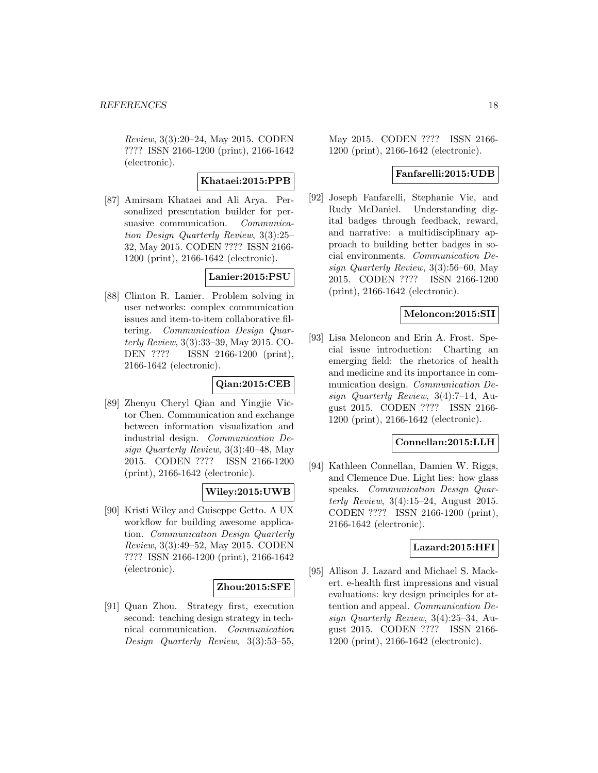Review, 3(3):20–24, May 2015. CODEN ???? ISSN 2166-1200 (print), 2166-1642 (electronic).

# **Khataei:2015:PPB**

[87] Amirsam Khataei and Ali Arya. Personalized presentation builder for persuasive communication. Communication Design Quarterly Review, 3(3):25– 32, May 2015. CODEN ???? ISSN 2166- 1200 (print), 2166-1642 (electronic).

# **Lanier:2015:PSU**

[88] Clinton R. Lanier. Problem solving in user networks: complex communication issues and item-to-item collaborative filtering. Communication Design Quarterly Review, 3(3):33–39, May 2015. CO-DEN ???? ISSN 2166-1200 (print), 2166-1642 (electronic).

# **Qian:2015:CEB**

[89] Zhenyu Cheryl Qian and Yingjie Victor Chen. Communication and exchange between information visualization and industrial design. Communication Design Quarterly Review, 3(3):40–48, May 2015. CODEN ???? ISSN 2166-1200 (print), 2166-1642 (electronic).

#### **Wiley:2015:UWB**

[90] Kristi Wiley and Guiseppe Getto. A UX workflow for building awesome application. Communication Design Quarterly Review, 3(3):49–52, May 2015. CODEN ???? ISSN 2166-1200 (print), 2166-1642 (electronic).

#### **Zhou:2015:SFE**

[91] Quan Zhou. Strategy first, execution second: teaching design strategy in technical communication. Communication Design Quarterly Review, 3(3):53–55,

May 2015. CODEN ???? ISSN 2166- 1200 (print), 2166-1642 (electronic).

#### **Fanfarelli:2015:UDB**

[92] Joseph Fanfarelli, Stephanie Vie, and Rudy McDaniel. Understanding digital badges through feedback, reward, and narrative: a multidisciplinary approach to building better badges in social environments. Communication Design Quarterly Review, 3(3):56–60, May 2015. CODEN ???? ISSN 2166-1200 (print), 2166-1642 (electronic).

# **Meloncon:2015:SII**

[93] Lisa Meloncon and Erin A. Frost. Special issue introduction: Charting an emerging field: the rhetorics of health and medicine and its importance in communication design. Communication Design Quarterly Review, 3(4):7–14, August 2015. CODEN ???? ISSN 2166- 1200 (print), 2166-1642 (electronic).

#### **Connellan:2015:LLH**

[94] Kathleen Connellan, Damien W. Riggs, and Clemence Due. Light lies: how glass speaks. Communication Design Quarterly Review,  $3(4):15-24$ , August 2015. CODEN ???? ISSN 2166-1200 (print), 2166-1642 (electronic).

#### **Lazard:2015:HFI**

[95] Allison J. Lazard and Michael S. Mackert. e-health first impressions and visual evaluations: key design principles for attention and appeal. Communication Design Quarterly Review, 3(4):25–34, August 2015. CODEN ???? ISSN 2166- 1200 (print), 2166-1642 (electronic).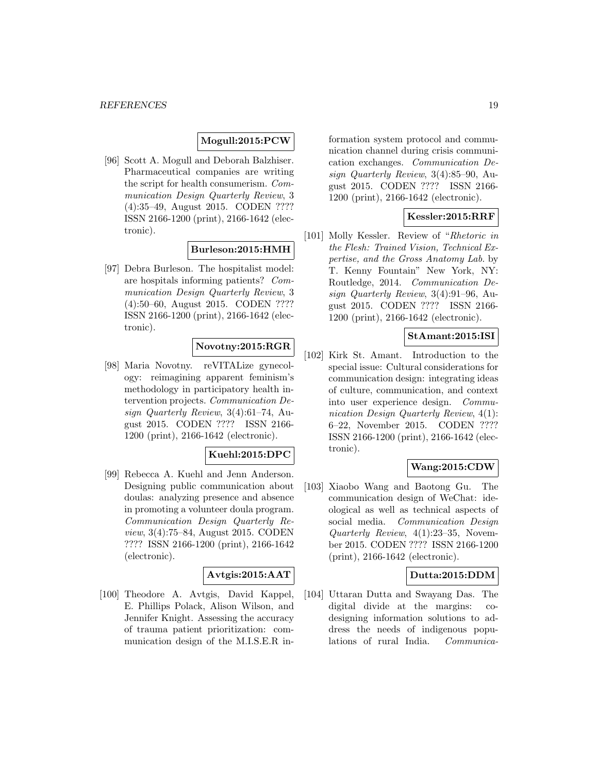### **Mogull:2015:PCW**

[96] Scott A. Mogull and Deborah Balzhiser. Pharmaceutical companies are writing the script for health consumerism. Communication Design Quarterly Review, 3 (4):35–49, August 2015. CODEN ???? ISSN 2166-1200 (print), 2166-1642 (electronic).

# **Burleson:2015:HMH**

[97] Debra Burleson. The hospitalist model: are hospitals informing patients? Communication Design Quarterly Review, 3 (4):50–60, August 2015. CODEN ???? ISSN 2166-1200 (print), 2166-1642 (electronic).

# **Novotny:2015:RGR**

[98] Maria Novotny. reVITALize gynecology: reimagining apparent feminism's methodology in participatory health intervention projects. Communication Design Quarterly Review, 3(4):61–74, August 2015. CODEN ???? ISSN 2166- 1200 (print), 2166-1642 (electronic).

# **Kuehl:2015:DPC**

[99] Rebecca A. Kuehl and Jenn Anderson. Designing public communication about doulas: analyzing presence and absence in promoting a volunteer doula program. Communication Design Quarterly Review, 3(4):75–84, August 2015. CODEN ???? ISSN 2166-1200 (print), 2166-1642 (electronic).

#### **Avtgis:2015:AAT**

[100] Theodore A. Avtgis, David Kappel, E. Phillips Polack, Alison Wilson, and Jennifer Knight. Assessing the accuracy of trauma patient prioritization: communication design of the M.I.S.E.R information system protocol and communication channel during crisis communication exchanges. Communication Design Quarterly Review, 3(4):85–90, August 2015. CODEN ???? ISSN 2166- 1200 (print), 2166-1642 (electronic).

#### **Kessler:2015:RRF**

[101] Molly Kessler. Review of "Rhetoric in the Flesh: Trained Vision, Technical Expertise, and the Gross Anatomy Lab. by T. Kenny Fountain" New York, NY: Routledge, 2014. Communication Design Quarterly Review, 3(4):91–96, August 2015. CODEN ???? ISSN 2166- 1200 (print), 2166-1642 (electronic).

# **StAmant:2015:ISI**

[102] Kirk St. Amant. Introduction to the special issue: Cultural considerations for communication design: integrating ideas of culture, communication, and context into user experience design. Communication Design Quarterly Review, 4(1): 6–22, November 2015. CODEN ???? ISSN 2166-1200 (print), 2166-1642 (electronic).

# **Wang:2015:CDW**

[103] Xiaobo Wang and Baotong Gu. The communication design of WeChat: ideological as well as technical aspects of social media. Communication Design Quarterly Review, 4(1):23–35, November 2015. CODEN ???? ISSN 2166-1200 (print), 2166-1642 (electronic).

#### **Dutta:2015:DDM**

[104] Uttaran Dutta and Swayang Das. The digital divide at the margins: codesigning information solutions to address the needs of indigenous populations of rural India. Communica-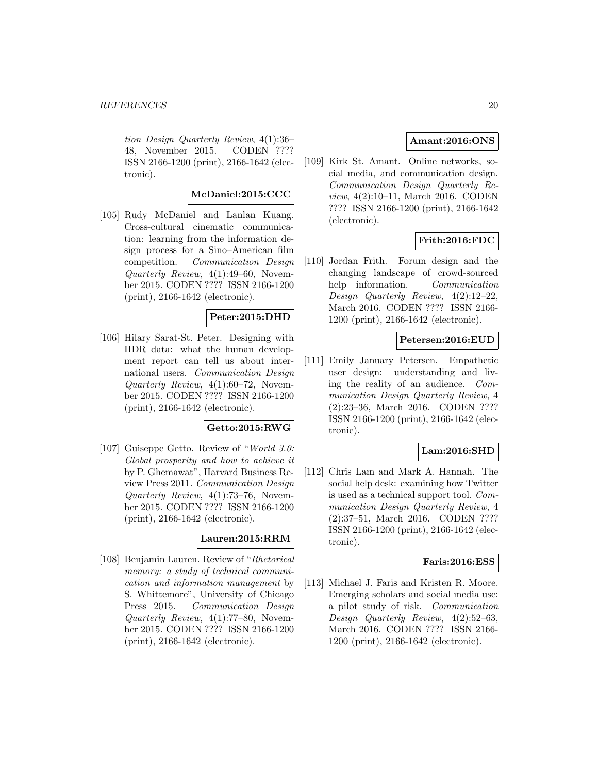tion Design Quarterly Review, 4(1):36– 48, November 2015. CODEN ???? ISSN 2166-1200 (print), 2166-1642 (electronic).

# **McDaniel:2015:CCC**

[105] Rudy McDaniel and Lanlan Kuang. Cross-cultural cinematic communication: learning from the information design process for a Sino–American film competition. Communication Design Quarterly Review, 4(1):49–60, November 2015. CODEN ???? ISSN 2166-1200 (print), 2166-1642 (electronic).

# **Peter:2015:DHD**

[106] Hilary Sarat-St. Peter. Designing with HDR data: what the human development report can tell us about international users. Communication Design Quarterly Review, 4(1):60–72, November 2015. CODEN ???? ISSN 2166-1200 (print), 2166-1642 (electronic).

#### **Getto:2015:RWG**

[107] Guiseppe Getto. Review of "World 3.0: Global prosperity and how to achieve it by P. Ghemawat", Harvard Business Review Press 2011. Communication Design Quarterly Review, 4(1):73–76, November 2015. CODEN ???? ISSN 2166-1200 (print), 2166-1642 (electronic).

#### **Lauren:2015:RRM**

[108] Benjamin Lauren. Review of "Rhetorical memory: a study of technical communication and information management by S. Whittemore", University of Chicago Press 2015. Communication Design Quarterly Review, 4(1):77–80, November 2015. CODEN ???? ISSN 2166-1200 (print), 2166-1642 (electronic).

# **Amant:2016:ONS**

[109] Kirk St. Amant. Online networks, social media, and communication design. Communication Design Quarterly Review, 4(2):10–11, March 2016. CODEN ???? ISSN 2166-1200 (print), 2166-1642 (electronic).

# **Frith:2016:FDC**

[110] Jordan Frith. Forum design and the changing landscape of crowd-sourced help information. Communication Design Quarterly Review, 4(2):12–22, March 2016. CODEN ???? ISSN 2166- 1200 (print), 2166-1642 (electronic).

#### **Petersen:2016:EUD**

[111] Emily January Petersen. Empathetic user design: understanding and living the reality of an audience. Communication Design Quarterly Review, 4 (2):23–36, March 2016. CODEN ???? ISSN 2166-1200 (print), 2166-1642 (electronic).

#### **Lam:2016:SHD**

[112] Chris Lam and Mark A. Hannah. The social help desk: examining how Twitter is used as a technical support tool. Communication Design Quarterly Review, 4 (2):37–51, March 2016. CODEN ???? ISSN 2166-1200 (print), 2166-1642 (electronic).

#### **Faris:2016:ESS**

[113] Michael J. Faris and Kristen R. Moore. Emerging scholars and social media use: a pilot study of risk. Communication Design Quarterly Review, 4(2):52–63, March 2016. CODEN ???? ISSN 2166- 1200 (print), 2166-1642 (electronic).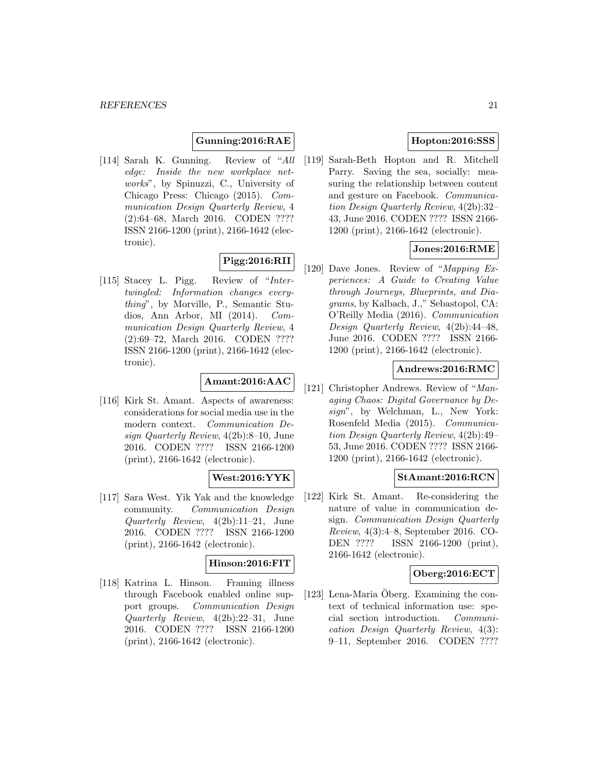# **Gunning:2016:RAE**

[114] Sarah K. Gunning. Review of "All edge: Inside the new workplace networks", by Spinuzzi, C., University of Chicago Press: Chicago (2015). Communication Design Quarterly Review, 4 (2):64–68, March 2016. CODEN ???? ISSN 2166-1200 (print), 2166-1642 (electronic).

# **Pigg:2016:RII**

[115] Stacey L. Pigg. Review of "Intertwingled: Information changes everything", by Morville, P., Semantic Studios, Ann Arbor, MI (2014). Communication Design Quarterly Review, 4 (2):69–72, March 2016. CODEN ???? ISSN 2166-1200 (print), 2166-1642 (electronic).

# **Amant:2016:AAC**

[116] Kirk St. Amant. Aspects of awareness: considerations for social media use in the modern context. Communication Design Quarterly Review, 4(2b):8–10, June 2016. CODEN ???? ISSN 2166-1200 (print), 2166-1642 (electronic).

# **West:2016:YYK**

[117] Sara West. Yik Yak and the knowledge community. Communication Design Quarterly Review, 4(2b):11–21, June 2016. CODEN ???? ISSN 2166-1200 (print), 2166-1642 (electronic).

# **Hinson:2016:FIT**

[118] Katrina L. Hinson. Framing illness through Facebook enabled online support groups. Communication Design Quarterly Review, 4(2b):22–31, June 2016. CODEN ???? ISSN 2166-1200 (print), 2166-1642 (electronic).

# **Hopton:2016:SSS**

[119] Sarah-Beth Hopton and R. Mitchell Parry. Saving the sea, socially: measuring the relationship between content and gesture on Facebook. Communication Design Quarterly Review, 4(2b):32– 43, June 2016. CODEN ???? ISSN 2166- 1200 (print), 2166-1642 (electronic).

# **Jones:2016:RME**

[120] Dave Jones. Review of "Mapping Experiences: A Guide to Creating Value through Journeys, Blueprints, and Diagrams, by Kalbach, J.," Sebastopol, CA: O'Reilly Media (2016). Communication Design Quarterly Review, 4(2b):44–48, June 2016. CODEN ???? ISSN 2166- 1200 (print), 2166-1642 (electronic).

#### **Andrews:2016:RMC**

[121] Christopher Andrews. Review of "Managing Chaos: Digital Governance by Design", by Welchman, L., New York: Rosenfeld Media (2015). Communication Design Quarterly Review, 4(2b):49– 53, June 2016. CODEN ???? ISSN 2166- 1200 (print), 2166-1642 (electronic).

# **StAmant:2016:RCN**

[122] Kirk St. Amant. Re-considering the nature of value in communication design. Communication Design Quarterly Review, 4(3):4–8, September 2016. CO-DEN ???? ISSN 2166-1200 (print), 2166-1642 (electronic).

#### **Oberg:2016:ECT**

 $[123]$  Lena-Maria Oberg. Examining the context of technical information use: special section introduction. Communication Design Quarterly Review, 4(3): 9–11, September 2016. CODEN ????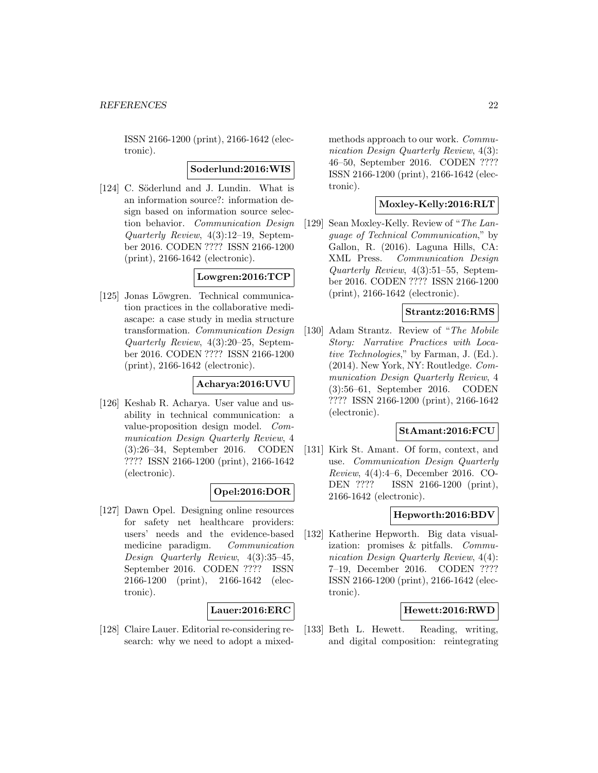ISSN 2166-1200 (print), 2166-1642 (electronic).

#### **Soderlund:2016:WIS**

[124] C. Söderlund and J. Lundin. What is an information source?: information design based on information source selection behavior. Communication Design Quarterly Review, 4(3):12–19, September 2016. CODEN ???? ISSN 2166-1200 (print), 2166-1642 (electronic).

# **Lowgren:2016:TCP**

[125] Jonas Löwgren. Technical communication practices in the collaborative mediascape: a case study in media structure transformation. Communication Design Quarterly Review, 4(3):20–25, September 2016. CODEN ???? ISSN 2166-1200 (print), 2166-1642 (electronic).

# **Acharya:2016:UVU**

[126] Keshab R. Acharya. User value and usability in technical communication: a value-proposition design model. Communication Design Quarterly Review, 4 (3):26–34, September 2016. CODEN ???? ISSN 2166-1200 (print), 2166-1642 (electronic).

# **Opel:2016:DOR**

[127] Dawn Opel. Designing online resources for safety net healthcare providers: users' needs and the evidence-based medicine paradigm. Communication Design Quarterly Review, 4(3):35–45, September 2016. CODEN ???? ISSN 2166-1200 (print), 2166-1642 (electronic).

#### **Lauer:2016:ERC**

[128] Claire Lauer. Editorial re-considering research: why we need to adopt a mixedmethods approach to our work. Communication Design Quarterly Review, 4(3): 46–50, September 2016. CODEN ???? ISSN 2166-1200 (print), 2166-1642 (electronic).

# **Moxley-Kelly:2016:RLT**

[129] Sean Moxley-Kelly. Review of "The Language of Technical Communication," by Gallon, R. (2016). Laguna Hills, CA: XML Press. Communication Design Quarterly Review, 4(3):51–55, September 2016. CODEN ???? ISSN 2166-1200 (print), 2166-1642 (electronic).

#### **Strantz:2016:RMS**

[130] Adam Strantz. Review of "The Mobile Story: Narrative Practices with Locative Technologies," by Farman, J. (Ed.). (2014). New York, NY: Routledge. Communication Design Quarterly Review, 4 (3):56–61, September 2016. CODEN ???? ISSN 2166-1200 (print), 2166-1642 (electronic).

#### **StAmant:2016:FCU**

[131] Kirk St. Amant. Of form, context, and use. Communication Design Quarterly Review, 4(4):4–6, December 2016. CO-DEN ???? ISSN 2166-1200 (print), 2166-1642 (electronic).

### **Hepworth:2016:BDV**

[132] Katherine Hepworth. Big data visualization: promises & pitfalls. Communication Design Quarterly Review, 4(4): 7–19, December 2016. CODEN ???? ISSN 2166-1200 (print), 2166-1642 (electronic).

#### **Hewett:2016:RWD**

[133] Beth L. Hewett. Reading, writing, and digital composition: reintegrating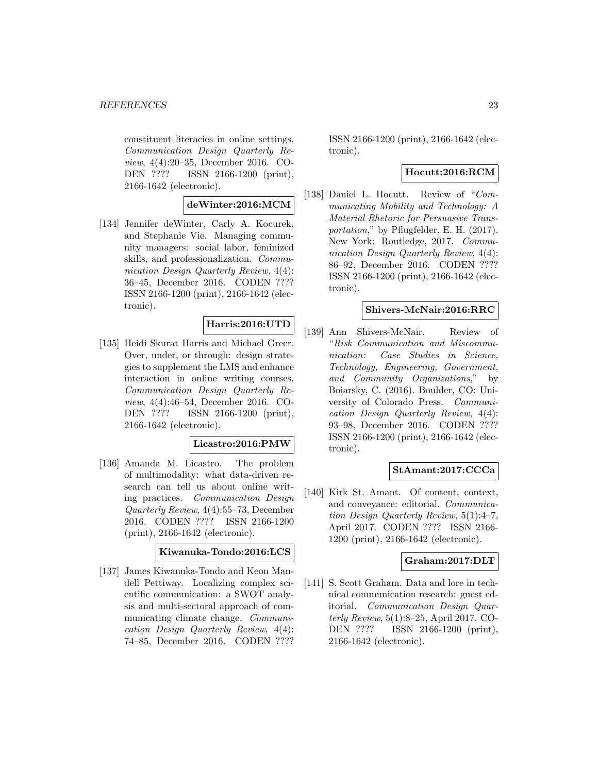constituent literacies in online settings. Communication Design Quarterly Review, 4(4):20–35, December 2016. CO-DEN ???? ISSN 2166-1200 (print), 2166-1642 (electronic).

# **deWinter:2016:MCM**

[134] Jennifer deWinter, Carly A. Kocurek, and Stephanie Vie. Managing community managers: social labor, feminized skills, and professionalization. Communication Design Quarterly Review,  $4(4)$ : 36–45, December 2016. CODEN ???? ISSN 2166-1200 (print), 2166-1642 (electronic).

# **Harris:2016:UTD**

[135] Heidi Skurat Harris and Michael Greer. Over, under, or through: design strategies to supplement the LMS and enhance interaction in online writing courses. Communication Design Quarterly Review, 4(4):46–54, December 2016. CO-DEN ???? ISSN 2166-1200 (print), 2166-1642 (electronic).

#### **Licastro:2016:PMW**

[136] Amanda M. Licastro. The problem of multimodality: what data-driven research can tell us about online writing practices. Communication Design Quarterly Review, 4(4):55–73, December 2016. CODEN ???? ISSN 2166-1200 (print), 2166-1642 (electronic).

#### **Kiwanuka-Tondo:2016:LCS**

[137] James Kiwanuka-Tondo and Keon Mandell Pettiway. Localizing complex scientific communication: a SWOT analysis and multi-sectoral approach of communicating climate change. Communication Design Quarterly Review, 4(4): 74–85, December 2016. CODEN ????

ISSN 2166-1200 (print), 2166-1642 (electronic).

### **Hocutt:2016:RCM**

[138] Daniel L. Hocutt. Review of "Communicating Mobility and Technology: A Material Rhetoric for Persuasive Transportation," by Pflugfelder, E. H. (2017). New York: Routledge, 2017. Communication Design Quarterly Review, 4(4): 86–92, December 2016. CODEN ???? ISSN 2166-1200 (print), 2166-1642 (electronic).

### **Shivers-McNair:2016:RRC**

[139] Ann Shivers-McNair. Review of "Risk Communication and Miscommunication: Case Studies in Science, Technology, Engineering, Government, and Community Organizations," by Boiarsky, C. (2016). Boulder, CO: University of Colorado Press. Communication Design Quarterly Review, 4(4): 93–98, December 2016. CODEN ???? ISSN 2166-1200 (print), 2166-1642 (electronic).

#### **StAmant:2017:CCCa**

[140] Kirk St. Amant. Of content, context, and conveyance: editorial. Communication Design Quarterly Review, 5(1):4–7, April 2017. CODEN ???? ISSN 2166- 1200 (print), 2166-1642 (electronic).

#### **Graham:2017:DLT**

[141] S. Scott Graham. Data and lore in technical communication research: guest editorial. Communication Design Quarterly Review, 5(1):8–25, April 2017. CO-DEN ???? ISSN 2166-1200 (print), 2166-1642 (electronic).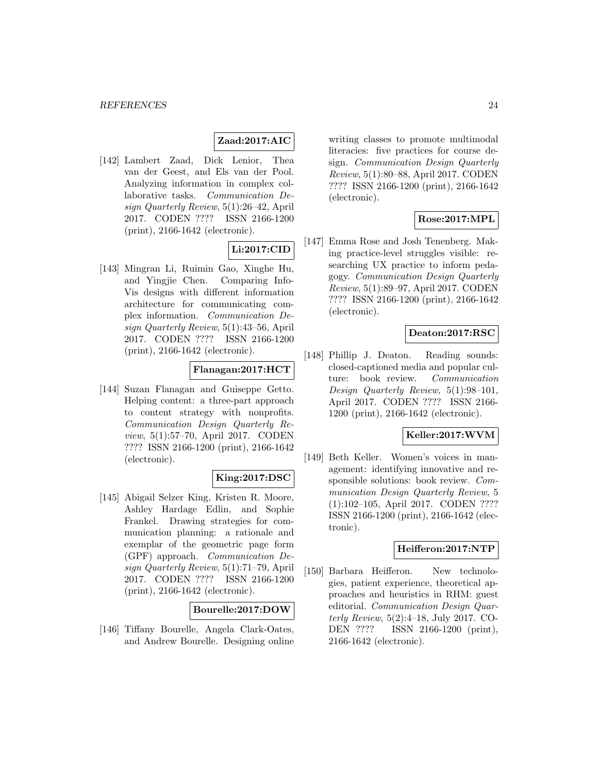# **Zaad:2017:AIC**

[142] Lambert Zaad, Dick Lenior, Thea van der Geest, and Els van der Pool. Analyzing information in complex collaborative tasks. Communication Design Quarterly Review, 5(1):26–42, April 2017. CODEN ???? ISSN 2166-1200 (print), 2166-1642 (electronic).

# **Li:2017:CID**

[143] Mingran Li, Ruimin Gao, Xinghe Hu, and Yingjie Chen. Comparing Info-Vis designs with different information architecture for communicating complex information. Communication Design Quarterly Review, 5(1):43–56, April 2017. CODEN ???? ISSN 2166-1200 (print), 2166-1642 (electronic).

# **Flanagan:2017:HCT**

[144] Suzan Flanagan and Guiseppe Getto. Helping content: a three-part approach to content strategy with nonprofits. Communication Design Quarterly Review, 5(1):57–70, April 2017. CODEN ???? ISSN 2166-1200 (print), 2166-1642 (electronic).

# **King:2017:DSC**

[145] Abigail Selzer King, Kristen R. Moore, Ashley Hardage Edlin, and Sophie Frankel. Drawing strategies for communication planning: a rationale and exemplar of the geometric page form (GPF) approach. Communication Design Quarterly Review, 5(1):71–79, April 2017. CODEN ???? ISSN 2166-1200 (print), 2166-1642 (electronic).

#### **Bourelle:2017:DOW**

[146] Tiffany Bourelle, Angela Clark-Oates, and Andrew Bourelle. Designing online

writing classes to promote multimodal literacies: five practices for course design. Communication Design Quarterly Review, 5(1):80–88, April 2017. CODEN ???? ISSN 2166-1200 (print), 2166-1642 (electronic).

# **Rose:2017:MPL**

[147] Emma Rose and Josh Tenenberg. Making practice-level struggles visible: researching UX practice to inform pedagogy. Communication Design Quarterly Review, 5(1):89–97, April 2017. CODEN ???? ISSN 2166-1200 (print), 2166-1642 (electronic).

# **Deaton:2017:RSC**

[148] Phillip J. Deaton. Reading sounds: closed-captioned media and popular culture: book review. Communication Design Quarterly Review, 5(1):98–101, April 2017. CODEN ???? ISSN 2166- 1200 (print), 2166-1642 (electronic).

# **Keller:2017:WVM**

[149] Beth Keller. Women's voices in management: identifying innovative and responsible solutions: book review. Communication Design Quarterly Review, 5 (1):102–105, April 2017. CODEN ???? ISSN 2166-1200 (print), 2166-1642 (electronic).

#### **Heifferon:2017:NTP**

[150] Barbara Heifferon. New technologies, patient experience, theoretical approaches and heuristics in RHM: guest editorial. Communication Design Quarterly Review, 5(2):4–18, July 2017. CO-DEN ???? ISSN 2166-1200 (print), 2166-1642 (electronic).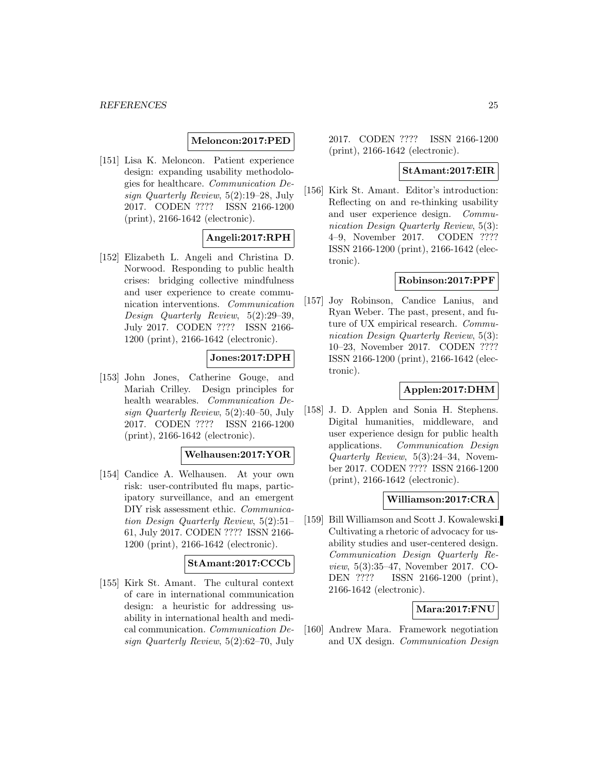#### **Meloncon:2017:PED**

[151] Lisa K. Meloncon. Patient experience design: expanding usability methodologies for healthcare. Communication Design Quarterly Review, 5(2):19–28, July 2017. CODEN ???? ISSN 2166-1200 (print), 2166-1642 (electronic).

# **Angeli:2017:RPH**

[152] Elizabeth L. Angeli and Christina D. Norwood. Responding to public health crises: bridging collective mindfulness and user experience to create communication interventions. Communication Design Quarterly Review, 5(2):29–39, July 2017. CODEN ???? ISSN 2166- 1200 (print), 2166-1642 (electronic).

# **Jones:2017:DPH**

[153] John Jones, Catherine Gouge, and Mariah Crilley. Design principles for health wearables. Communication Design Quarterly Review, 5(2):40–50, July 2017. CODEN ???? ISSN 2166-1200 (print), 2166-1642 (electronic).

#### **Welhausen:2017:YOR**

[154] Candice A. Welhausen. At your own risk: user-contributed flu maps, participatory surveillance, and an emergent DIY risk assessment ethic. Communication Design Quarterly Review, 5(2):51– 61, July 2017. CODEN ???? ISSN 2166- 1200 (print), 2166-1642 (electronic).

# **StAmant:2017:CCCb**

[155] Kirk St. Amant. The cultural context of care in international communication design: a heuristic for addressing usability in international health and medical communication. Communication Design Quarterly Review, 5(2):62–70, July 2017. CODEN ???? ISSN 2166-1200 (print), 2166-1642 (electronic).

#### **StAmant:2017:EIR**

[156] Kirk St. Amant. Editor's introduction: Reflecting on and re-thinking usability and user experience design. Communication Design Quarterly Review, 5(3): 4–9, November 2017. CODEN ???? ISSN 2166-1200 (print), 2166-1642 (electronic).

#### **Robinson:2017:PPF**

[157] Joy Robinson, Candice Lanius, and Ryan Weber. The past, present, and future of UX empirical research. Communication Design Quarterly Review, 5(3): 10–23, November 2017. CODEN ???? ISSN 2166-1200 (print), 2166-1642 (electronic).

# **Applen:2017:DHM**

[158] J. D. Applen and Sonia H. Stephens. Digital humanities, middleware, and user experience design for public health applications. Communication Design Quarterly Review, 5(3):24–34, November 2017. CODEN ???? ISSN 2166-1200 (print), 2166-1642 (electronic).

# **Williamson:2017:CRA**

[159] Bill Williamson and Scott J. Kowalewski. Cultivating a rhetoric of advocacy for usability studies and user-centered design. Communication Design Quarterly Review, 5(3):35–47, November 2017. CO-DEN ???? ISSN 2166-1200 (print), 2166-1642 (electronic).

#### **Mara:2017:FNU**

[160] Andrew Mara. Framework negotiation and UX design. Communication Design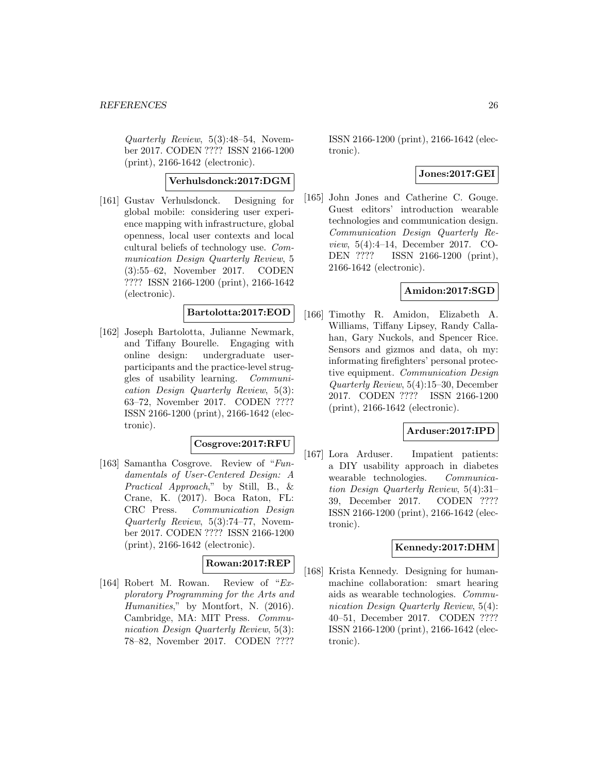Quarterly Review, 5(3):48–54, November 2017. CODEN ???? ISSN 2166-1200 (print), 2166-1642 (electronic).

# **Verhulsdonck:2017:DGM**

[161] Gustav Verhulsdonck. Designing for global mobile: considering user experience mapping with infrastructure, global openness, local user contexts and local cultural beliefs of technology use. Communication Design Quarterly Review, 5 (3):55–62, November 2017. CODEN ???? ISSN 2166-1200 (print), 2166-1642 (electronic).

# **Bartolotta:2017:EOD**

[162] Joseph Bartolotta, Julianne Newmark, and Tiffany Bourelle. Engaging with online design: undergraduate userparticipants and the practice-level struggles of usability learning. Communication Design Quarterly Review, 5(3): 63–72, November 2017. CODEN ???? ISSN 2166-1200 (print), 2166-1642 (electronic).

### **Cosgrove:2017:RFU**

[163] Samantha Cosgrove. Review of "Fundamentals of User-Centered Design: A Practical Approach," by Still, B., & Crane, K. (2017). Boca Raton, FL: CRC Press. Communication Design Quarterly Review, 5(3):74–77, November 2017. CODEN ???? ISSN 2166-1200 (print), 2166-1642 (electronic).

# **Rowan:2017:REP**

[164] Robert M. Rowan. Review of "Exploratory Programming for the Arts and Humanities," by Montfort, N. (2016). Cambridge, MA: MIT Press. Communication Design Quarterly Review, 5(3): 78–82, November 2017. CODEN ????

ISSN 2166-1200 (print), 2166-1642 (electronic).

#### **Jones:2017:GEI**

[165] John Jones and Catherine C. Gouge. Guest editors' introduction wearable technologies and communication design. Communication Design Quarterly Review, 5(4):4–14, December 2017. CO-DEN ???? ISSN 2166-1200 (print), 2166-1642 (electronic).

# **Amidon:2017:SGD**

[166] Timothy R. Amidon, Elizabeth A. Williams, Tiffany Lipsey, Randy Callahan, Gary Nuckols, and Spencer Rice. Sensors and gizmos and data, oh my: informating firefighters' personal protective equipment. Communication Design Quarterly Review, 5(4):15–30, December 2017. CODEN ???? ISSN 2166-1200 (print), 2166-1642 (electronic).

#### **Arduser:2017:IPD**

[167] Lora Arduser. Impatient patients: a DIY usability approach in diabetes wearable technologies. Communication Design Quarterly Review, 5(4):31– 39, December 2017. CODEN ???? ISSN 2166-1200 (print), 2166-1642 (electronic).

# **Kennedy:2017:DHM**

[168] Krista Kennedy. Designing for humanmachine collaboration: smart hearing aids as wearable technologies. Communication Design Quarterly Review, 5(4): 40–51, December 2017. CODEN ???? ISSN 2166-1200 (print), 2166-1642 (electronic).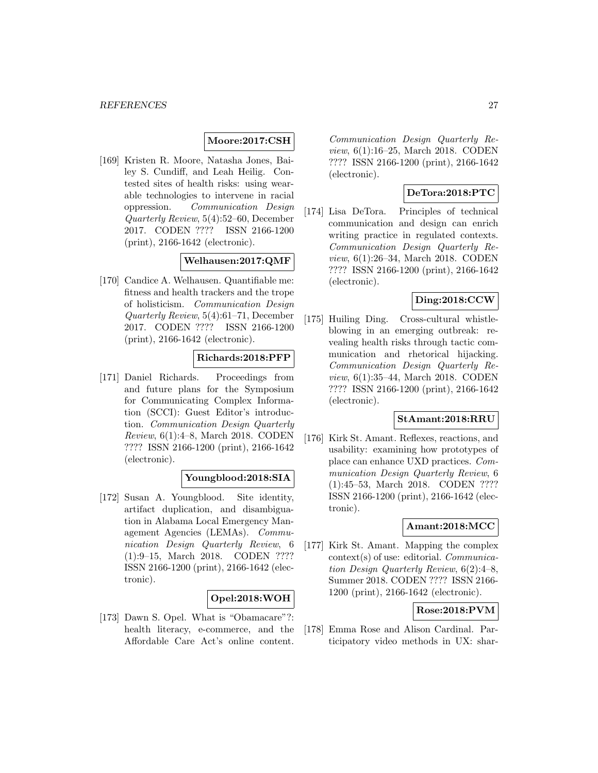# **Moore:2017:CSH**

[169] Kristen R. Moore, Natasha Jones, Bailey S. Cundiff, and Leah Heilig. Contested sites of health risks: using wearable technologies to intervene in racial oppression. Communication Design Quarterly Review, 5(4):52–60, December 2017. CODEN ???? ISSN 2166-1200 (print), 2166-1642 (electronic).

# **Welhausen:2017:QMF**

[170] Candice A. Welhausen. Quantifiable me: fitness and health trackers and the trope of holisticism. Communication Design Quarterly Review, 5(4):61–71, December 2017. CODEN ???? ISSN 2166-1200 (print), 2166-1642 (electronic).

# **Richards:2018:PFP**

[171] Daniel Richards. Proceedings from and future plans for the Symposium for Communicating Complex Information (SCCI): Guest Editor's introduction. Communication Design Quarterly Review, 6(1):4–8, March 2018. CODEN ???? ISSN 2166-1200 (print), 2166-1642 (electronic).

#### **Youngblood:2018:SIA**

[172] Susan A. Youngblood. Site identity, artifact duplication, and disambiguation in Alabama Local Emergency Management Agencies (LEMAs). Communication Design Quarterly Review, 6 (1):9–15, March 2018. CODEN ???? ISSN 2166-1200 (print), 2166-1642 (electronic).

#### **Opel:2018:WOH**

[173] Dawn S. Opel. What is "Obamacare"?: health literacy, e-commerce, and the Affordable Care Act's online content.

Communication Design Quarterly Review, 6(1):16–25, March 2018. CODEN ???? ISSN 2166-1200 (print), 2166-1642 (electronic).

### **DeTora:2018:PTC**

[174] Lisa DeTora. Principles of technical communication and design can enrich writing practice in regulated contexts. Communication Design Quarterly Review, 6(1):26–34, March 2018. CODEN ???? ISSN 2166-1200 (print), 2166-1642 (electronic).

# **Ding:2018:CCW**

[175] Huiling Ding. Cross-cultural whistleblowing in an emerging outbreak: revealing health risks through tactic communication and rhetorical hijacking. Communication Design Quarterly Review, 6(1):35–44, March 2018. CODEN ???? ISSN 2166-1200 (print), 2166-1642 (electronic).

#### **StAmant:2018:RRU**

[176] Kirk St. Amant. Reflexes, reactions, and usability: examining how prototypes of place can enhance UXD practices. Communication Design Quarterly Review, 6 (1):45–53, March 2018. CODEN ???? ISSN 2166-1200 (print), 2166-1642 (electronic).

# **Amant:2018:MCC**

[177] Kirk St. Amant. Mapping the complex context(s) of use: editorial. Communication Design Quarterly Review, 6(2):4–8, Summer 2018. CODEN ???? ISSN 2166- 1200 (print), 2166-1642 (electronic).

#### **Rose:2018:PVM**

[178] Emma Rose and Alison Cardinal. Participatory video methods in UX: shar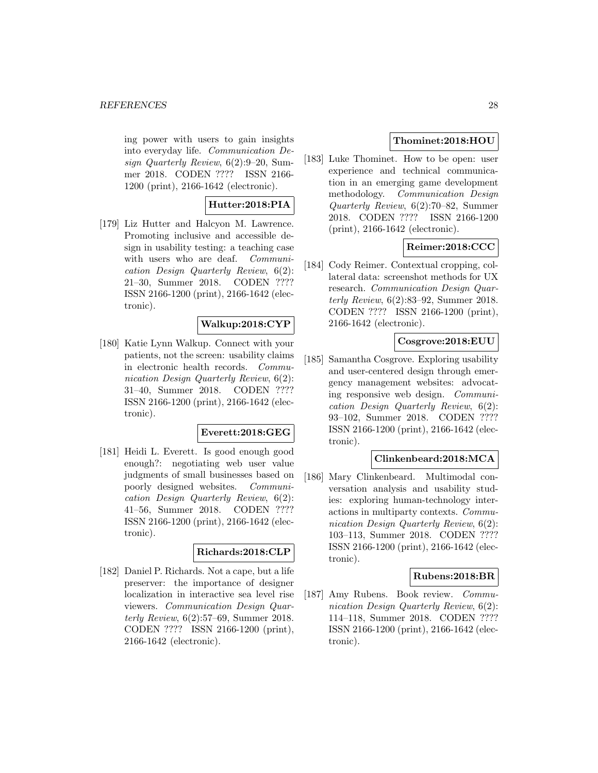ing power with users to gain insights into everyday life. Communication Design Quarterly Review, 6(2):9–20, Summer 2018. CODEN ???? ISSN 2166- 1200 (print), 2166-1642 (electronic).

# **Hutter:2018:PIA**

[179] Liz Hutter and Halcyon M. Lawrence. Promoting inclusive and accessible design in usability testing: a teaching case with users who are deaf. *Communi*cation Design Quarterly Review, 6(2): 21–30, Summer 2018. CODEN ???? ISSN 2166-1200 (print), 2166-1642 (electronic).

# **Walkup:2018:CYP**

[180] Katie Lynn Walkup. Connect with your patients, not the screen: usability claims in electronic health records. Communication Design Quarterly Review, 6(2): 31–40, Summer 2018. CODEN ???? ISSN 2166-1200 (print), 2166-1642 (electronic).

#### **Everett:2018:GEG**

[181] Heidi L. Everett. Is good enough good enough?: negotiating web user value judgments of small businesses based on poorly designed websites. Communication Design Quarterly Review, 6(2): 41–56, Summer 2018. CODEN ???? ISSN 2166-1200 (print), 2166-1642 (electronic).

#### **Richards:2018:CLP**

[182] Daniel P. Richards. Not a cape, but a life preserver: the importance of designer localization in interactive sea level rise viewers. Communication Design Quarterly Review, 6(2):57–69, Summer 2018. CODEN ???? ISSN 2166-1200 (print), 2166-1642 (electronic).

# **Thominet:2018:HOU**

[183] Luke Thominet. How to be open: user experience and technical communication in an emerging game development methodology. Communication Design Quarterly Review, 6(2):70–82, Summer 2018. CODEN ???? ISSN 2166-1200 (print), 2166-1642 (electronic).

# **Reimer:2018:CCC**

[184] Cody Reimer. Contextual cropping, collateral data: screenshot methods for UX research. Communication Design Quarterly Review, 6(2):83–92, Summer 2018. CODEN ???? ISSN 2166-1200 (print), 2166-1642 (electronic).

#### **Cosgrove:2018:EUU**

[185] Samantha Cosgrove. Exploring usability and user-centered design through emergency management websites: advocating responsive web design. Communication Design Quarterly Review, 6(2): 93–102, Summer 2018. CODEN ???? ISSN 2166-1200 (print), 2166-1642 (electronic).

#### **Clinkenbeard:2018:MCA**

[186] Mary Clinkenbeard. Multimodal conversation analysis and usability studies: exploring human-technology interactions in multiparty contexts. Communication Design Quarterly Review, 6(2): 103–113, Summer 2018. CODEN ???? ISSN 2166-1200 (print), 2166-1642 (electronic).

#### **Rubens:2018:BR**

[187] Amy Rubens. Book review. Communication Design Quarterly Review, 6(2): 114–118, Summer 2018. CODEN ???? ISSN 2166-1200 (print), 2166-1642 (electronic).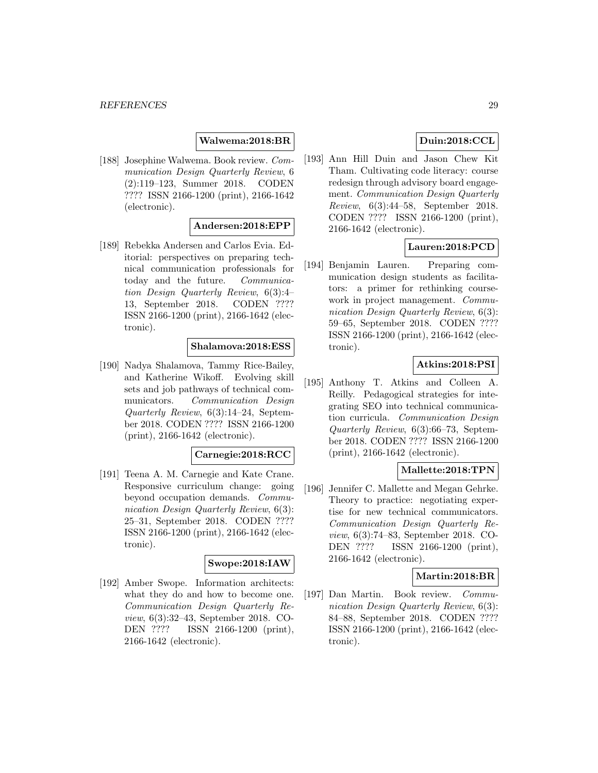### **Walwema:2018:BR**

[188] Josephine Walwema. Book review. Communication Design Quarterly Review, 6 (2):119–123, Summer 2018. CODEN ???? ISSN 2166-1200 (print), 2166-1642 (electronic).

#### **Andersen:2018:EPP**

[189] Rebekka Andersen and Carlos Evia. Editorial: perspectives on preparing technical communication professionals for today and the future. Communication Design Quarterly Review, 6(3):4– 13, September 2018. CODEN ???? ISSN 2166-1200 (print), 2166-1642 (electronic).

#### **Shalamova:2018:ESS**

[190] Nadya Shalamova, Tammy Rice-Bailey, and Katherine Wikoff. Evolving skill sets and job pathways of technical communicators. Communication Design Quarterly Review, 6(3):14–24, September 2018. CODEN ???? ISSN 2166-1200 (print), 2166-1642 (electronic).

#### **Carnegie:2018:RCC**

[191] Teena A. M. Carnegie and Kate Crane. Responsive curriculum change: going beyond occupation demands. Communication Design Quarterly Review, 6(3): 25–31, September 2018. CODEN ???? ISSN 2166-1200 (print), 2166-1642 (electronic).

# **Swope:2018:IAW**

[192] Amber Swope. Information architects: what they do and how to become one. Communication Design Quarterly Review, 6(3):32–43, September 2018. CO-DEN ???? ISSN 2166-1200 (print), 2166-1642 (electronic).

# **Duin:2018:CCL**

[193] Ann Hill Duin and Jason Chew Kit Tham. Cultivating code literacy: course redesign through advisory board engagement. Communication Design Quarterly Review, 6(3):44–58, September 2018. CODEN ???? ISSN 2166-1200 (print), 2166-1642 (electronic).

# **Lauren:2018:PCD**

[194] Benjamin Lauren. Preparing communication design students as facilitators: a primer for rethinking coursework in project management. Communication Design Quarterly Review, 6(3): 59–65, September 2018. CODEN ???? ISSN 2166-1200 (print), 2166-1642 (electronic).

# **Atkins:2018:PSI**

[195] Anthony T. Atkins and Colleen A. Reilly. Pedagogical strategies for integrating SEO into technical communication curricula. Communication Design Quarterly Review, 6(3):66–73, September 2018. CODEN ???? ISSN 2166-1200 (print), 2166-1642 (electronic).

# **Mallette:2018:TPN**

[196] Jennifer C. Mallette and Megan Gehrke. Theory to practice: negotiating expertise for new technical communicators. Communication Design Quarterly Review, 6(3):74–83, September 2018. CO-DEN ???? ISSN 2166-1200 (print), 2166-1642 (electronic).

#### **Martin:2018:BR**

[197] Dan Martin. Book review. Communication Design Quarterly Review, 6(3): 84–88, September 2018. CODEN ???? ISSN 2166-1200 (print), 2166-1642 (electronic).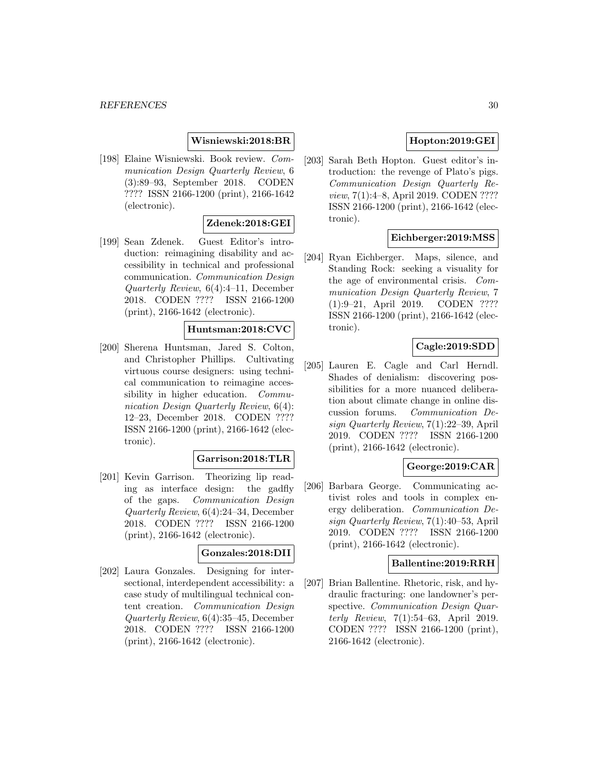### **Wisniewski:2018:BR**

[198] Elaine Wisniewski. Book review. Communication Design Quarterly Review, 6 (3):89–93, September 2018. CODEN ???? ISSN 2166-1200 (print), 2166-1642 (electronic).

#### **Zdenek:2018:GEI**

[199] Sean Zdenek. Guest Editor's introduction: reimagining disability and accessibility in technical and professional communication. Communication Design Quarterly Review, 6(4):4–11, December 2018. CODEN ???? ISSN 2166-1200 (print), 2166-1642 (electronic).

#### **Huntsman:2018:CVC**

[200] Sherena Huntsman, Jared S. Colton, and Christopher Phillips. Cultivating virtuous course designers: using technical communication to reimagine accessibility in higher education. Communication Design Quarterly Review, 6(4): 12–23, December 2018. CODEN ???? ISSN 2166-1200 (print), 2166-1642 (electronic).

#### **Garrison:2018:TLR**

[201] Kevin Garrison. Theorizing lip reading as interface design: the gadfly of the gaps. Communication Design Quarterly Review, 6(4):24–34, December 2018. CODEN ???? ISSN 2166-1200 (print), 2166-1642 (electronic).

#### **Gonzales:2018:DII**

[202] Laura Gonzales. Designing for intersectional, interdependent accessibility: a case study of multilingual technical content creation. Communication Design Quarterly Review, 6(4):35–45, December 2018. CODEN ???? ISSN 2166-1200 (print), 2166-1642 (electronic).

# **Hopton:2019:GEI**

[203] Sarah Beth Hopton. Guest editor's introduction: the revenge of Plato's pigs. Communication Design Quarterly Review, 7(1):4–8, April 2019. CODEN ???? ISSN 2166-1200 (print), 2166-1642 (electronic).

#### **Eichberger:2019:MSS**

[204] Ryan Eichberger. Maps, silence, and Standing Rock: seeking a visuality for the age of environmental crisis. Communication Design Quarterly Review, 7 (1):9–21, April 2019. CODEN ???? ISSN 2166-1200 (print), 2166-1642 (electronic).

# **Cagle:2019:SDD**

[205] Lauren E. Cagle and Carl Herndl. Shades of denialism: discovering possibilities for a more nuanced deliberation about climate change in online discussion forums. Communication Design Quarterly Review, 7(1):22–39, April 2019. CODEN ???? ISSN 2166-1200 (print), 2166-1642 (electronic).

### **George:2019:CAR**

[206] Barbara George. Communicating activist roles and tools in complex energy deliberation. Communication Design Quarterly Review, 7(1):40–53, April 2019. CODEN ???? ISSN 2166-1200 (print), 2166-1642 (electronic).

#### **Ballentine:2019:RRH**

[207] Brian Ballentine. Rhetoric, risk, and hydraulic fracturing: one landowner's perspective. *Communication Design Quar*terly Review, 7(1):54–63, April 2019. CODEN ???? ISSN 2166-1200 (print), 2166-1642 (electronic).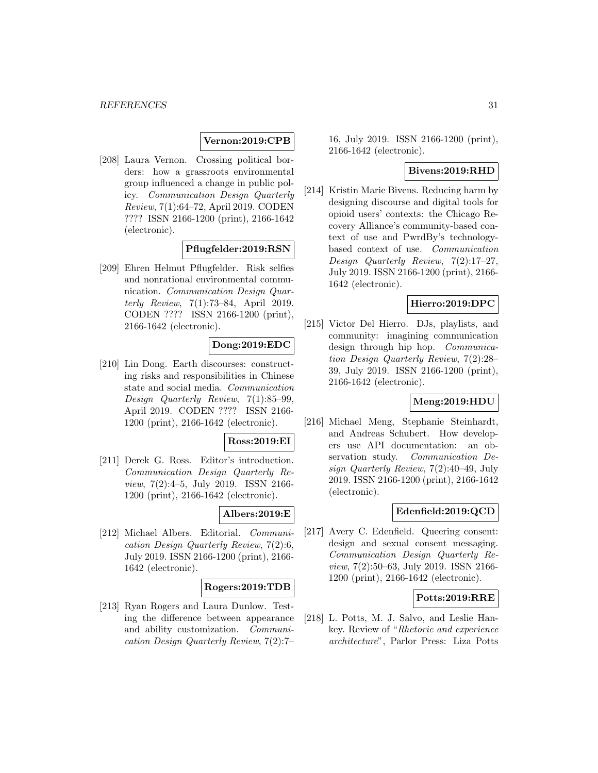# **Vernon:2019:CPB**

[208] Laura Vernon. Crossing political borders: how a grassroots environmental group influenced a change in public policy. Communication Design Quarterly Review, 7(1):64–72, April 2019. CODEN ???? ISSN 2166-1200 (print), 2166-1642 (electronic).

#### **Pflugfelder:2019:RSN**

[209] Ehren Helmut Pflugfelder. Risk selfies and nonrational environmental communication. Communication Design Quarterly Review, 7(1):73–84, April 2019. CODEN ???? ISSN 2166-1200 (print), 2166-1642 (electronic).

# **Dong:2019:EDC**

[210] Lin Dong. Earth discourses: constructing risks and responsibilities in Chinese state and social media. Communication Design Quarterly Review, 7(1):85–99, April 2019. CODEN ???? ISSN 2166- 1200 (print), 2166-1642 (electronic).

#### **Ross:2019:EI**

[211] Derek G. Ross. Editor's introduction. Communication Design Quarterly Review, 7(2):4–5, July 2019. ISSN 2166- 1200 (print), 2166-1642 (electronic).

#### **Albers:2019:E**

[212] Michael Albers. Editorial. Communication Design Quarterly Review, 7(2):6, July 2019. ISSN 2166-1200 (print), 2166- 1642 (electronic).

#### **Rogers:2019:TDB**

[213] Ryan Rogers and Laura Dunlow. Testing the difference between appearance and ability customization. Communication Design Quarterly Review, 7(2):7–

16, July 2019. ISSN 2166-1200 (print), 2166-1642 (electronic).

### **Bivens:2019:RHD**

[214] Kristin Marie Bivens. Reducing harm by designing discourse and digital tools for opioid users' contexts: the Chicago Recovery Alliance's community-based context of use and PwrdBy's technologybased context of use. Communication Design Quarterly Review, 7(2):17–27, July 2019. ISSN 2166-1200 (print), 2166- 1642 (electronic).

#### **Hierro:2019:DPC**

[215] Victor Del Hierro. DJs, playlists, and community: imagining communication design through hip hop. *Communica*tion Design Quarterly Review, 7(2):28– 39, July 2019. ISSN 2166-1200 (print), 2166-1642 (electronic).

# **Meng:2019:HDU**

[216] Michael Meng, Stephanie Steinhardt, and Andreas Schubert. How developers use API documentation: an observation study. Communication Design Quarterly Review, 7(2):40–49, July 2019. ISSN 2166-1200 (print), 2166-1642 (electronic).

#### **Edenfield:2019:QCD**

[217] Avery C. Edenfield. Queering consent: design and sexual consent messaging. Communication Design Quarterly Review, 7(2):50–63, July 2019. ISSN 2166- 1200 (print), 2166-1642 (electronic).

#### **Potts:2019:RRE**

[218] L. Potts, M. J. Salvo, and Leslie Hankey. Review of "Rhetoric and experience architecture", Parlor Press: Liza Potts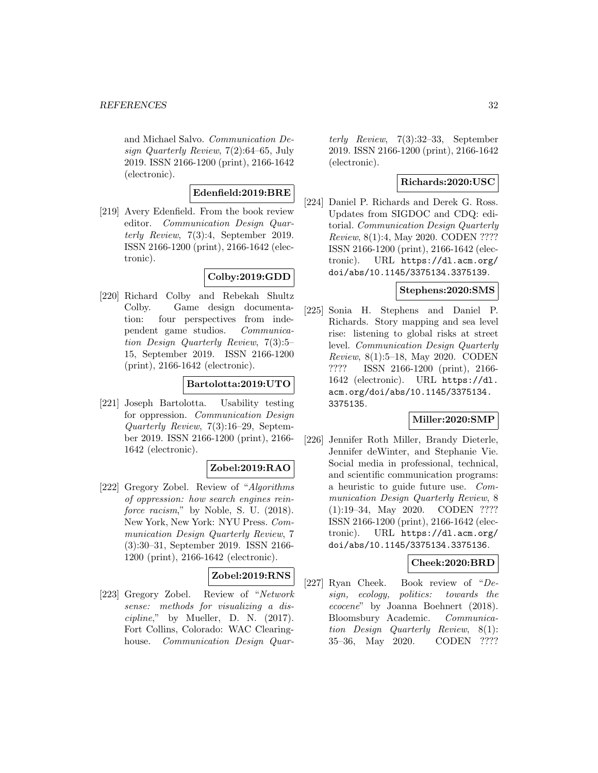and Michael Salvo. Communication Design Quarterly Review, 7(2):64–65, July 2019. ISSN 2166-1200 (print), 2166-1642 (electronic).

# **Edenfield:2019:BRE**

[219] Avery Edenfield. From the book review editor. Communication Design Quarterly Review, 7(3):4, September 2019. ISSN 2166-1200 (print), 2166-1642 (electronic).

# **Colby:2019:GDD**

[220] Richard Colby and Rebekah Shultz Colby. Game design documentation: four perspectives from independent game studios. Communication Design Quarterly Review, 7(3):5– 15, September 2019. ISSN 2166-1200 (print), 2166-1642 (electronic).

# **Bartolotta:2019:UTO**

[221] Joseph Bartolotta. Usability testing for oppression. Communication Design Quarterly Review, 7(3):16–29, September 2019. ISSN 2166-1200 (print), 2166- 1642 (electronic).

# **Zobel:2019:RAO**

[222] Gregory Zobel. Review of "Algorithms of oppression: how search engines reinforce racism," by Noble, S. U. (2018). New York, New York: NYU Press. Communication Design Quarterly Review, 7 (3):30–31, September 2019. ISSN 2166- 1200 (print), 2166-1642 (electronic).

# **Zobel:2019:RNS**

[223] Gregory Zobel. Review of "Network sense: methods for visualizing a discipline," by Mueller, D. N. (2017). Fort Collins, Colorado: WAC Clearinghouse. Communication Design Quarterly Review, 7(3):32–33, September 2019. ISSN 2166-1200 (print), 2166-1642 (electronic).

#### **Richards:2020:USC**

[224] Daniel P. Richards and Derek G. Ross. Updates from SIGDOC and CDQ: editorial. Communication Design Quarterly Review, 8(1):4, May 2020. CODEN ???? ISSN 2166-1200 (print), 2166-1642 (electronic). URL https://dl.acm.org/ doi/abs/10.1145/3375134.3375139.

# **Stephens:2020:SMS**

[225] Sonia H. Stephens and Daniel P. Richards. Story mapping and sea level rise: listening to global risks at street level. Communication Design Quarterly Review, 8(1):5–18, May 2020. CODEN ???? ISSN 2166-1200 (print), 2166- 1642 (electronic). URL https://dl. acm.org/doi/abs/10.1145/3375134. 3375135.

#### **Miller:2020:SMP**

[226] Jennifer Roth Miller, Brandy Dieterle, Jennifer deWinter, and Stephanie Vie. Social media in professional, technical, and scientific communication programs: a heuristic to guide future use. Communication Design Quarterly Review, 8 (1):19–34, May 2020. CODEN ???? ISSN 2166-1200 (print), 2166-1642 (electronic). URL https://dl.acm.org/ doi/abs/10.1145/3375134.3375136.

# **Cheek:2020:BRD**

[227] Ryan Cheek. Book review of "Design, ecology, politics: towards the ecocene" by Joanna Boehnert (2018). Bloomsbury Academic. Communication Design Quarterly Review, 8(1): 35–36, May 2020. CODEN ????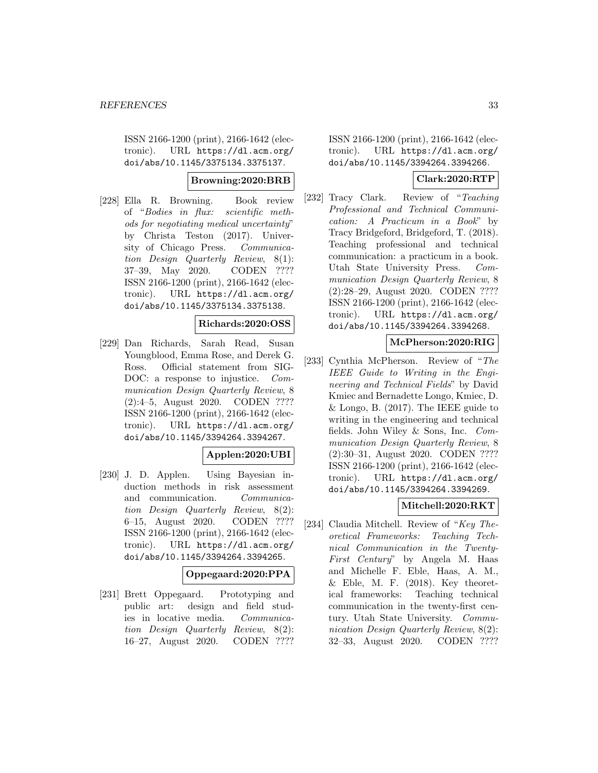ISSN 2166-1200 (print), 2166-1642 (electronic). URL https://dl.acm.org/ doi/abs/10.1145/3375134.3375137.

### **Browning:2020:BRB**

[228] Ella R. Browning. Book review of "Bodies in flux: scientific methods for negotiating medical uncertainty" by Christa Teston (2017). University of Chicago Press. Communication Design Quarterly Review, 8(1): 37–39, May 2020. CODEN ???? ISSN 2166-1200 (print), 2166-1642 (electronic). URL https://dl.acm.org/ doi/abs/10.1145/3375134.3375138.

#### **Richards:2020:OSS**

[229] Dan Richards, Sarah Read, Susan Youngblood, Emma Rose, and Derek G. Ross. Official statement from SIG-DOC: a response to injustice. *Com*munication Design Quarterly Review, 8 (2):4–5, August 2020. CODEN ???? ISSN 2166-1200 (print), 2166-1642 (electronic). URL https://dl.acm.org/ doi/abs/10.1145/3394264.3394267.

#### **Applen:2020:UBI**

[230] J. D. Applen. Using Bayesian induction methods in risk assessment and communication. Communication Design Quarterly Review, 8(2): 6–15, August 2020. CODEN ???? ISSN 2166-1200 (print), 2166-1642 (electronic). URL https://dl.acm.org/ doi/abs/10.1145/3394264.3394265.

#### **Oppegaard:2020:PPA**

[231] Brett Oppegaard. Prototyping and public art: design and field studies in locative media. Communication Design Quarterly Review, 8(2): 16–27, August 2020. CODEN ????

ISSN 2166-1200 (print), 2166-1642 (electronic). URL https://dl.acm.org/ doi/abs/10.1145/3394264.3394266.

# **Clark:2020:RTP**

[232] Tracy Clark. Review of "Teaching Professional and Technical Communication: A Practicum in a Book" by Tracy Bridgeford, Bridgeford, T. (2018). Teaching professional and technical communication: a practicum in a book. Utah State University Press. Communication Design Quarterly Review, 8 (2):28–29, August 2020. CODEN ???? ISSN 2166-1200 (print), 2166-1642 (electronic). URL https://dl.acm.org/ doi/abs/10.1145/3394264.3394268.

#### **McPherson:2020:RIG**

[233] Cynthia McPherson. Review of "The IEEE Guide to Writing in the Engineering and Technical Fields" by David Kmiec and Bernadette Longo, Kmiec, D.  $&$  Longo, B. (2017). The IEEE guide to writing in the engineering and technical fields. John Wiley & Sons, Inc. Communication Design Quarterly Review, 8 (2):30–31, August 2020. CODEN ???? ISSN 2166-1200 (print), 2166-1642 (electronic). URL https://dl.acm.org/ doi/abs/10.1145/3394264.3394269.

# **Mitchell:2020:RKT**

[234] Claudia Mitchell. Review of "Key Theoretical Frameworks: Teaching Technical Communication in the Twenty-First Century" by Angela M. Haas and Michelle F. Eble, Haas, A. M., & Eble, M. F. (2018). Key theoretical frameworks: Teaching technical communication in the twenty-first century. Utah State University. Communication Design Quarterly Review, 8(2): 32–33, August 2020. CODEN ????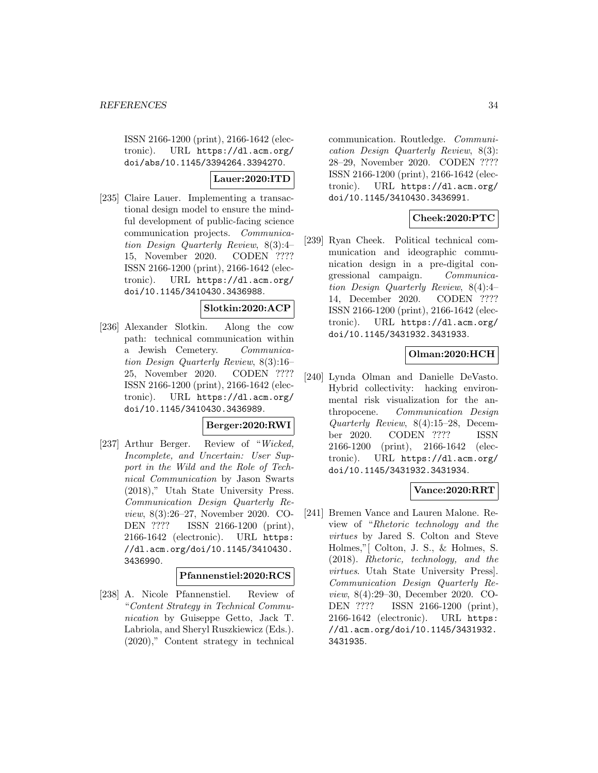ISSN 2166-1200 (print), 2166-1642 (electronic). URL https://dl.acm.org/ doi/abs/10.1145/3394264.3394270.

# **Lauer:2020:ITD**

[235] Claire Lauer. Implementing a transactional design model to ensure the mindful development of public-facing science communication projects. Communication Design Quarterly Review, 8(3):4– 15, November 2020. CODEN ???? ISSN 2166-1200 (print), 2166-1642 (electronic). URL https://dl.acm.org/ doi/10.1145/3410430.3436988.

#### **Slotkin:2020:ACP**

[236] Alexander Slotkin. Along the cow path: technical communication within a Jewish Cemetery. Communication Design Quarterly Review, 8(3):16– 25, November 2020. CODEN ???? ISSN 2166-1200 (print), 2166-1642 (electronic). URL https://dl.acm.org/ doi/10.1145/3410430.3436989.

#### **Berger:2020:RWI**

[237] Arthur Berger. Review of "Wicked, Incomplete, and Uncertain: User Support in the Wild and the Role of Technical Communication by Jason Swarts (2018)," Utah State University Press. Communication Design Quarterly Review, 8(3):26–27, November 2020. CO-DEN ???? ISSN 2166-1200 (print), 2166-1642 (electronic). URL https: //dl.acm.org/doi/10.1145/3410430. 3436990.

#### **Pfannenstiel:2020:RCS**

[238] A. Nicole Pfannenstiel. Review of "Content Strategy in Technical Communication by Guiseppe Getto, Jack T. Labriola, and Sheryl Ruszkiewicz (Eds.). (2020)," Content strategy in technical

communication. Routledge. Communication Design Quarterly Review, 8(3): 28–29, November 2020. CODEN ???? ISSN 2166-1200 (print), 2166-1642 (electronic). URL https://dl.acm.org/ doi/10.1145/3410430.3436991.

# **Cheek:2020:PTC**

[239] Ryan Cheek. Political technical communication and ideographic communication design in a pre-digital congressional campaign. Communication Design Quarterly Review, 8(4):4– 14, December 2020. CODEN ???? ISSN 2166-1200 (print), 2166-1642 (electronic). URL https://dl.acm.org/ doi/10.1145/3431932.3431933.

# **Olman:2020:HCH**

[240] Lynda Olman and Danielle DeVasto. Hybrid collectivity: hacking environmental risk visualization for the anthropocene. Communication Design Quarterly Review, 8(4):15–28, December 2020. CODEN ???? ISSN 2166-1200 (print), 2166-1642 (electronic). URL https://dl.acm.org/ doi/10.1145/3431932.3431934.

#### **Vance:2020:RRT**

[241] Bremen Vance and Lauren Malone. Review of "Rhetoric technology and the virtues by Jared S. Colton and Steve Holmes,"[ Colton, J. S., & Holmes, S. (2018). Rhetoric, technology, and the virtues. Utah State University Press]. Communication Design Quarterly Review, 8(4):29–30, December 2020. CO-DEN ???? ISSN 2166-1200 (print), 2166-1642 (electronic). URL https: //dl.acm.org/doi/10.1145/3431932. 3431935.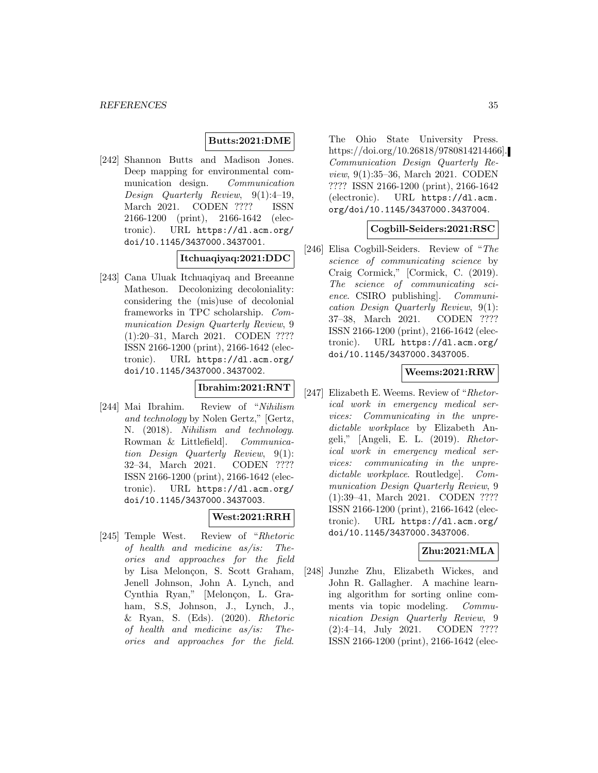# **Butts:2021:DME**

[242] Shannon Butts and Madison Jones. Deep mapping for environmental communication design. Communication Design Quarterly Review, 9(1):4–19, March 2021. CODEN ???? ISSN 2166-1200 (print), 2166-1642 (electronic). URL https://dl.acm.org/ doi/10.1145/3437000.3437001.

### **Itchuaqiyaq:2021:DDC**

[243] Cana Uluak Itchuaqiyaq and Breeanne Matheson. Decolonizing decoloniality: considering the (mis)use of decolonial frameworks in TPC scholarship. Communication Design Quarterly Review, 9 (1):20–31, March 2021. CODEN ???? ISSN 2166-1200 (print), 2166-1642 (electronic). URL https://dl.acm.org/ doi/10.1145/3437000.3437002.

# **Ibrahim:2021:RNT**

[244] Mai Ibrahim. Review of "Nihilism and technology by Nolen Gertz," [Gertz, N. (2018). Nihilism and technology. Rowman & Littlefield]. Communication Design Quarterly Review, 9(1): 32–34, March 2021. CODEN ???? ISSN 2166-1200 (print), 2166-1642 (electronic). URL https://dl.acm.org/ doi/10.1145/3437000.3437003.

# **West:2021:RRH**

[245] Temple West. Review of "Rhetoric of health and medicine as/is: Theories and approaches for the field by Lisa Melonçon, S. Scott Graham, Jenell Johnson, John A. Lynch, and Cynthia Ryan," [Melonçon, L. Graham, S.S, Johnson, J., Lynch, J., & Ryan, S. (Eds). (2020). Rhetoric of health and medicine as/is: Theories and approaches for the field.

The Ohio State University Press. https://doi.org/10.26818/9780814214466]. Communication Design Quarterly Review, 9(1):35–36, March 2021. CODEN ???? ISSN 2166-1200 (print), 2166-1642 (electronic). URL https://dl.acm. org/doi/10.1145/3437000.3437004.

# **Cogbill-Seiders:2021:RSC**

[246] Elisa Cogbill-Seiders. Review of "The science of communicating science by Craig Cormick," [Cormick, C. (2019). The science of communicating science. CSIRO publishing]. Communication Design Quarterly Review, 9(1): 37–38, March 2021. CODEN ???? ISSN 2166-1200 (print), 2166-1642 (electronic). URL https://dl.acm.org/ doi/10.1145/3437000.3437005.

# **Weems:2021:RRW**

[247] Elizabeth E. Weems. Review of "Rhetorical work in emergency medical services: Communicating in the unpredictable workplace by Elizabeth Angeli," [Angeli, E. L. (2019). Rhetorical work in emergency medical services: communicating in the unpredictable workplace. Routledge]. Communication Design Quarterly Review, 9 (1):39–41, March 2021. CODEN ???? ISSN 2166-1200 (print), 2166-1642 (electronic). URL https://dl.acm.org/ doi/10.1145/3437000.3437006.

#### **Zhu:2021:MLA**

[248] Junzhe Zhu, Elizabeth Wickes, and John R. Gallagher. A machine learning algorithm for sorting online comments via topic modeling. Communication Design Quarterly Review, 9 (2):4–14, July 2021. CODEN ???? ISSN 2166-1200 (print), 2166-1642 (elec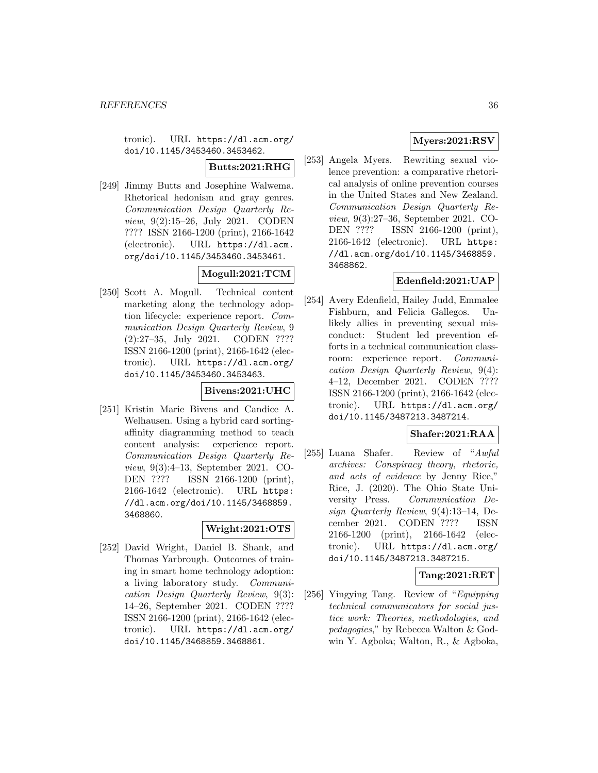tronic). URL https://dl.acm.org/ doi/10.1145/3453460.3453462.

**Butts:2021:RHG**

[249] Jimmy Butts and Josephine Walwema. Rhetorical hedonism and gray genres. Communication Design Quarterly Review, 9(2):15–26, July 2021. CODEN ???? ISSN 2166-1200 (print), 2166-1642 (electronic). URL https://dl.acm. org/doi/10.1145/3453460.3453461.

# **Mogull:2021:TCM**

[250] Scott A. Mogull. Technical content marketing along the technology adoption lifecycle: experience report. Communication Design Quarterly Review, 9 (2):27–35, July 2021. CODEN ???? ISSN 2166-1200 (print), 2166-1642 (electronic). URL https://dl.acm.org/ doi/10.1145/3453460.3453463.

#### **Bivens:2021:UHC**

[251] Kristin Marie Bivens and Candice A. Welhausen. Using a hybrid card sortingaffinity diagramming method to teach content analysis: experience report. Communication Design Quarterly Review, 9(3):4–13, September 2021. CO-DEN ???? ISSN 2166-1200 (print), 2166-1642 (electronic). URL https: //dl.acm.org/doi/10.1145/3468859. 3468860.

# **Wright:2021:OTS**

[252] David Wright, Daniel B. Shank, and Thomas Yarbrough. Outcomes of training in smart home technology adoption: a living laboratory study. Communication Design Quarterly Review, 9(3): 14–26, September 2021. CODEN ???? ISSN 2166-1200 (print), 2166-1642 (electronic). URL https://dl.acm.org/ doi/10.1145/3468859.3468861.

# **Myers:2021:RSV**

[253] Angela Myers. Rewriting sexual violence prevention: a comparative rhetorical analysis of online prevention courses in the United States and New Zealand. Communication Design Quarterly Review, 9(3):27–36, September 2021. CO-DEN ???? ISSN 2166-1200 (print), 2166-1642 (electronic). URL https: //dl.acm.org/doi/10.1145/3468859. 3468862.

# **Edenfield:2021:UAP**

[254] Avery Edenfield, Hailey Judd, Emmalee Fishburn, and Felicia Gallegos. Unlikely allies in preventing sexual misconduct: Student led prevention efforts in a technical communication classroom: experience report. Communication Design Quarterly Review, 9(4): 4–12, December 2021. CODEN ???? ISSN 2166-1200 (print), 2166-1642 (electronic). URL https://dl.acm.org/ doi/10.1145/3487213.3487214.

# **Shafer:2021:RAA**

[255] Luana Shafer. Review of "Awful archives: Conspiracy theory, rhetoric, and acts of evidence by Jenny Rice," Rice, J. (2020). The Ohio State University Press. Communication Design Quarterly Review, 9(4):13–14, December 2021. CODEN ???? ISSN 2166-1200 (print), 2166-1642 (electronic). URL https://dl.acm.org/ doi/10.1145/3487213.3487215.

# **Tang:2021:RET**

[256] Yingying Tang. Review of "Equipping technical communicators for social justice work: Theories, methodologies, and pedagogies," by Rebecca Walton & Godwin Y. Agboka; Walton, R., & Agboka,